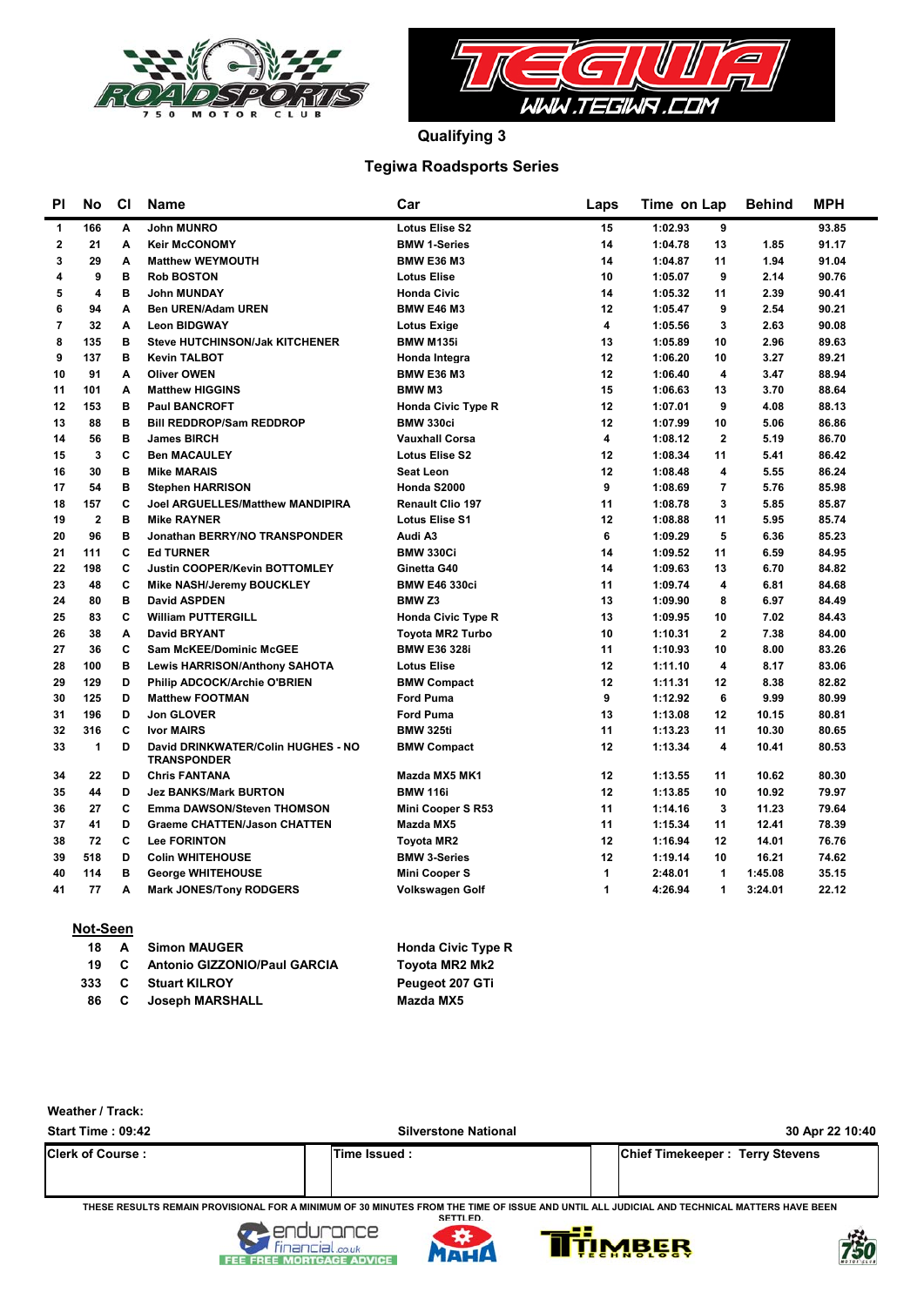



**Qualifying 3**

### **Tegiwa Roadsports Series**

| PI                      | No                  | C1 | Name                                                     | Car                       | Laps | Time on Lap               | <b>Behind</b> | <b>MPH</b> |
|-------------------------|---------------------|----|----------------------------------------------------------|---------------------------|------|---------------------------|---------------|------------|
| 1                       | 166                 | A  | <b>John MUNRO</b>                                        | <b>Lotus Elise S2</b>     | 15   | 1:02.93<br>9              |               | 93.85      |
| $\overline{\mathbf{2}}$ | 21                  | A  | <b>Keir McCONOMY</b>                                     | <b>BMW 1-Series</b>       | 14   | 1:04.78<br>13             | 1.85          | 91.17      |
| 3                       | 29                  | A  | <b>Matthew WEYMOUTH</b>                                  | <b>BMW E36 M3</b>         | 14   | 11<br>1:04.87             | 1.94          | 91.04      |
| 4                       | 9                   | в  | <b>Rob BOSTON</b>                                        | <b>Lotus Elise</b>        | 10   | 9<br>1:05.07              | 2.14          | 90.76      |
| 5                       | $\overline{\bf{4}}$ | в  | <b>John MUNDAY</b>                                       | <b>Honda Civic</b>        | 14   | 1:05.32<br>11             | 2.39          | 90.41      |
| 6                       | 94                  | A  | <b>Ben UREN/Adam UREN</b>                                | <b>BMW E46 M3</b>         | 12   | 1:05.47<br>9              | 2.54          | 90.21      |
| $\overline{7}$          | 32                  | A  | <b>Leon BIDGWAY</b>                                      | <b>Lotus Exige</b>        | 4    | 3<br>1:05.56              | 2.63          | 90.08      |
| 8                       | 135                 | в  | <b>Steve HUTCHINSON/Jak KITCHENER</b>                    | <b>BMW M135i</b>          | 13   | 1:05.89<br>10             | 2.96          | 89.63      |
| 9                       | 137                 | в  | <b>Kevin TALBOT</b>                                      | Honda Integra             | 12   | 1:06.20<br>10             | 3.27          | 89.21      |
| 10                      | 91                  | A  | <b>Oliver OWEN</b>                                       | <b>BMW E36 M3</b>         | 12   | 4<br>1:06.40              | 3.47          | 88.94      |
| 11                      | 101                 | A  | <b>Matthew HIGGINS</b>                                   | <b>BMWM3</b>              | 15   | 1:06.63<br>13             | 3.70          | 88.64      |
| 12                      | 153                 | в  | <b>Paul BANCROFT</b>                                     | <b>Honda Civic Type R</b> | 12   | 9<br>1:07.01              | 4.08          | 88.13      |
| 13                      | 88                  | B  | <b>Bill REDDROP/Sam REDDROP</b>                          | <b>BMW 330ci</b>          | 12   | 10<br>1:07.99             | 5.06          | 86.86      |
| 14                      | 56                  | B  | <b>James BIRCH</b>                                       | <b>Vauxhall Corsa</b>     | 4    | $\overline{2}$<br>1:08.12 | 5.19          | 86.70      |
| 15                      | 3                   | C  | <b>Ben MACAULEY</b>                                      | <b>Lotus Elise S2</b>     | 12   | 1:08.34<br>11             | 5.41          | 86.42      |
| 16                      | 30                  | B  | <b>Mike MARAIS</b>                                       | <b>Seat Leon</b>          | 12   | 1:08.48<br>4              | 5.55          | 86.24      |
| 17                      | 54                  | B  | <b>Stephen HARRISON</b>                                  | Honda S2000               | 9    | 1:08.69<br>$\overline{7}$ | 5.76          | 85.98      |
| 18                      | 157                 | C  | <b>Joel ARGUELLES/Matthew MANDIPIRA</b>                  | <b>Renault Clio 197</b>   | 11   | 3<br>1:08.78              | 5.85          | 85.87      |
| 19                      | $\mathbf{2}$        | B  | <b>Mike RAYNER</b>                                       | <b>Lotus Elise S1</b>     | 12   | 1:08.88<br>11             | 5.95          | 85.74      |
| 20                      | 96                  | B  | Jonathan BERRY/NO TRANSPONDER                            | Audi A3                   | 6    | 5<br>1:09.29              | 6.36          | 85.23      |
| 21                      | 111                 | C  | <b>Ed TURNER</b>                                         | <b>BMW 330Ci</b>          | 14   | 11<br>1:09.52             | 6.59          | 84.95      |
| 22                      | 198                 | C  | <b>Justin COOPER/Kevin BOTTOMLEY</b>                     | Ginetta G40               | 14   | 1:09.63<br>13             | 6.70          | 84.82      |
| 23                      | 48                  | C  | Mike NASH/Jeremy BOUCKLEY                                | <b>BMW E46 330ci</b>      | 11   | 1:09.74<br>4              | 6.81          | 84.68      |
| 24                      | 80                  | B  | <b>David ASPDEN</b>                                      | BMW <sub>Z3</sub>         | 13   | 8<br>1:09.90              | 6.97          | 84.49      |
| 25                      | 83                  | C  | <b>William PUTTERGILL</b>                                | <b>Honda Civic Type R</b> | 13   | 1:09.95<br>10             | 7.02          | 84.43      |
| 26                      | 38                  | A  | <b>David BRYANT</b>                                      | <b>Tovota MR2 Turbo</b>   | 10   | $\mathbf{2}$<br>1:10.31   | 7.38          | 84.00      |
| 27                      | 36                  | C  | <b>Sam McKEE/Dominic McGEE</b>                           | <b>BMW E36 328i</b>       | 11   | 1:10.93<br>10             | 8.00          | 83.26      |
| 28                      | 100                 | B  | <b>Lewis HARRISON/Anthony SAHOTA</b>                     | <b>Lotus Elise</b>        | 12   | 1:11.10<br>4              | 8.17          | 83.06      |
| 29                      | 129                 | D  | Philip ADCOCK/Archie O'BRIEN                             | <b>BMW Compact</b>        | 12   | 1:11.31<br>12             | 8.38          | 82.82      |
| 30                      | 125                 | D  | <b>Matthew FOOTMAN</b>                                   | <b>Ford Puma</b>          | 9    | 6<br>1:12.92              | 9.99          | 80.99      |
| 31                      | 196                 | D  | <b>Jon GLOVER</b>                                        | <b>Ford Puma</b>          | 13   | 1:13.08<br>12             | 10.15         | 80.81      |
| 32                      | 316                 | C  | <b>Ivor MAIRS</b>                                        | <b>BMW 325ti</b>          | 11   | 1:13.23<br>11             | 10.30         | 80.65      |
| 33                      | $\mathbf{1}$        | D  | David DRINKWATER/Colin HUGHES - NO<br><b>TRANSPONDER</b> | <b>BMW Compact</b>        | 12   | 4<br>1:13.34              | 10.41         | 80.53      |
| 34                      | 22                  | D  | <b>Chris FANTANA</b>                                     | Mazda MX5 MK1             | 12   | 1:13.55<br>11             | 10.62         | 80.30      |
| 35                      | 44                  | D  | <b>Jez BANKS/Mark BURTON</b>                             | <b>BMW 116i</b>           | 12   | 1:13.85<br>10             | 10.92         | 79.97      |
| 36                      | 27                  | C  | <b>Emma DAWSON/Steven THOMSON</b>                        | Mini Cooper S R53         | 11   | 1:14.16<br>3              | 11.23         | 79.64      |
| 37                      | 41                  | D  | <b>Graeme CHATTEN/Jason CHATTEN</b>                      | Mazda MX5                 | 11   | 1:15.34<br>11             | 12.41         | 78.39      |
| 38                      | 72                  | C  | <b>Lee FORINTON</b>                                      | <b>Toyota MR2</b>         | 12   | 1:16.94<br>12             | 14.01         | 76.76      |
| 39                      | 518                 | D  | <b>Colin WHITEHOUSE</b>                                  | <b>BMW 3-Series</b>       | 12   | 1:19.14<br>10             | 16.21         | 74.62      |
| 40                      | 114                 | B  | <b>George WHITEHOUSE</b>                                 | <b>Mini Cooper S</b>      | 1    | 2:48.01<br>1              | 1:45.08       | 35.15      |
| 41                      | 77                  | A  | <b>Mark JONES/Tony RODGERS</b>                           | <b>Volkswagen Golf</b>    | 1    | 4:26.94<br>1              | 3:24.01       | 22.12      |
|                         |                     |    |                                                          |                           |      |                           |               |            |

| Not-Seen |      |                              |                           |
|----------|------|------------------------------|---------------------------|
|          |      | 18 A Simon MAUGER            | <b>Honda Civic Type R</b> |
| 19       | C.   | Antonio GIZZONIO/Paul GARCIA | Toyota MR2 Mk2            |
| 333.     |      | <b>C</b> Stuart KILROY       | Peugeot 207 GTi           |
|          | 86 C | Joseph MARSHALL              | Mazda MX5                 |

| Weather / Track:         |                             |                                        |
|--------------------------|-----------------------------|----------------------------------------|
| Start Time: 09:42        | <b>Silverstone National</b> | 30 Apr 22 10:40                        |
| <b>Clerk of Course :</b> | Time Issued:                | <b>Chief Timekeeper: Terry Stevens</b> |

**THESE RESULTS REMAIN PROVISIONAL FOR A MINIMUM OF 30 MINUTES FROM THE TIME OF ISSUE AND UNTIL ALL JUDICIAL AND TECHNICAL MATTERS HAVE BEEN SETTLED.**







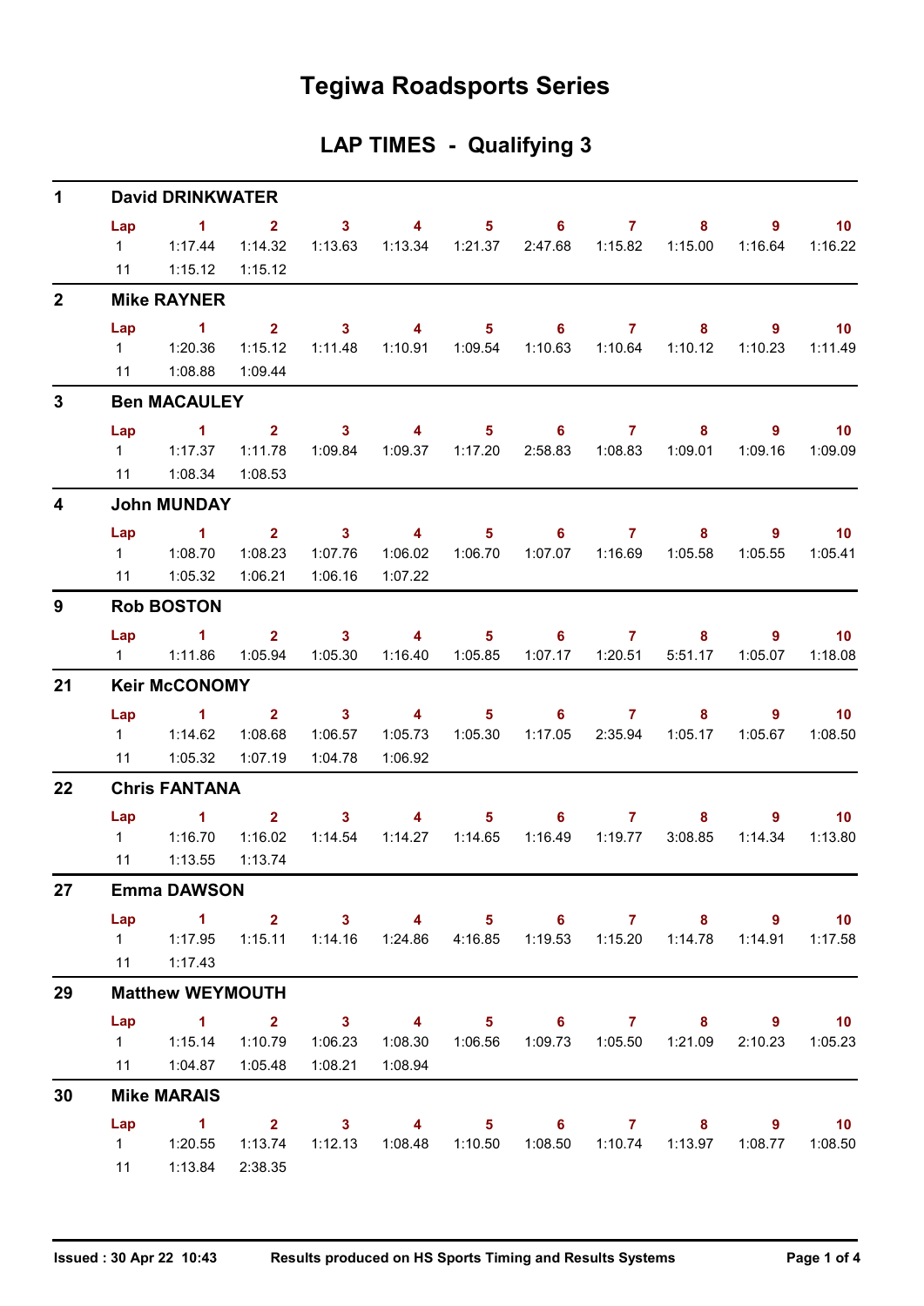## **Tegiwa Roadsports Series**

## **LAP TIMES - Qualifying 3**

| 1<br>$\overline{2}$<br>3<br>$\overline{\mathbf{4}}$<br>9<br>21<br>22<br>27<br>29<br>30 | <b>David DRINKWATER</b> |                                                                                             |                                    |                                    |                                    |                           |                              |                           |                                                               |                |                             |  |  |  |
|----------------------------------------------------------------------------------------|-------------------------|---------------------------------------------------------------------------------------------|------------------------------------|------------------------------------|------------------------------------|---------------------------|------------------------------|---------------------------|---------------------------------------------------------------|----------------|-----------------------------|--|--|--|
|                                                                                        | Lap<br>$1 \quad$<br>11  | $\sim$ 1<br>1:17.44<br>1:15.12                                                              | $\mathbf{2}$<br>1:14.32<br>1:15.12 | 3 <sup>1</sup><br>1:13.63          | $\overline{4}$<br>1:13.34          | 1:21.37                   | $5 \t\t 6 \t\t 7$<br>2:47.68 | 1:15.82                   | 8<br>1:15.00                                                  | 9<br>1:16.64   | 10<br>1:16.22               |  |  |  |
|                                                                                        |                         | <b>Mike RAYNER</b>                                                                          |                                    |                                    |                                    |                           |                              |                           |                                                               |                |                             |  |  |  |
|                                                                                        | Lap                     | $\blacktriangleleft$                                                                        | 2 <sup>1</sup>                     | $\mathbf{3}$                       | $\overline{4}$                     | 5 <sub>5</sub>            | 6                            | $\mathbf{7}$              | 8                                                             | 9              | 10                          |  |  |  |
|                                                                                        |                         |                                                                                             | 1:15.12                            | 1:11.48                            | 1:10.91  1:09.54                   |                           | 1:10.63                      | 1:10.64                   | 1:10.12                                                       | 1:10.23        | 1:11.49                     |  |  |  |
|                                                                                        | 11                      | 1:08.88                                                                                     | 1:09.44                            |                                    |                                    |                           |                              |                           |                                                               |                |                             |  |  |  |
|                                                                                        |                         | <b>Ben MACAULEY</b>                                                                         |                                    |                                    |                                    |                           |                              |                           |                                                               |                |                             |  |  |  |
|                                                                                        | Lap                     | $\sim$ 1                                                                                    | $\overline{\mathbf{2}}$            | $\overline{\mathbf{3}}$            | $\sim$ 4                           |                           | $5 \t\t 6 \t\t 7$            |                           | 8                                                             | 9              | $\overline{10}$             |  |  |  |
|                                                                                        | $1 \quad$               | 1:17.37                                                                                     | 1:11.78                            | 1:09.84                            | 1:09.37                            | 1:17.20                   | 2:58.83                      | 1:08.83                   | 1:09.01                                                       | 1:09.16        | 1:09.09                     |  |  |  |
|                                                                                        | 11                      | 1:08.34                                                                                     | 1:08.53                            |                                    |                                    |                           |                              |                           |                                                               |                |                             |  |  |  |
|                                                                                        |                         | <b>John MUNDAY</b>                                                                          |                                    |                                    |                                    |                           |                              |                           |                                                               |                |                             |  |  |  |
|                                                                                        | Lap                     | $\blacktriangleleft$                                                                        | 2 <sup>1</sup>                     | $\overline{\mathbf{3}}$            | $\overline{4}$                     | 5 <sub>1</sub>            | 6                            | 7                         | 8                                                             | 9              | 10                          |  |  |  |
|                                                                                        |                         |                                                                                             | 1:08.23                            | 1:07.76                            | 1:06.02                            | 1:06.70                   |                              |                           | 1:05.58                                                       | 1:05.55        | 1:05.41                     |  |  |  |
|                                                                                        | 11                      | 1:05.32                                                                                     | 1:06.21                            | 1:06.16                            | 1:07.22                            |                           |                              |                           |                                                               |                |                             |  |  |  |
|                                                                                        |                         | <b>Rob BOSTON</b>                                                                           |                                    |                                    |                                    |                           |                              |                           |                                                               |                |                             |  |  |  |
|                                                                                        | Lap                     | $\sim$ $\sim$ 1.                                                                            |                                    | $2 \t 3$                           | $\sim$ 4                           |                           | $5 \t\t 6 \t\t 7$            |                           | 8                                                             | 9              | $\overline{10}$             |  |  |  |
|                                                                                        | $1 \quad \Box$          | 1:11.86                                                                                     | 1:05.94                            | 1:05.30                            | 1:16.40                            | 1:05.85                   | 1:07.17                      | 1:20.51                   | 5:51.17                                                       | 1:05.07        | 1:18.08                     |  |  |  |
|                                                                                        |                         | <b>Keir McCONOMY</b>                                                                        |                                    |                                    |                                    |                           |                              |                           |                                                               |                |                             |  |  |  |
|                                                                                        | Lap<br>$1 \quad$        | $\sim$ $\sim$ 1<br>1:14.62                                                                  | 2 <sup>1</sup><br>1:08.68          | $\overline{\mathbf{3}}$<br>1:06.57 | $\overline{\mathbf{4}}$<br>1:05.73 | 5 <sub>5</sub><br>1:05.30 | 6 <sup>1</sup><br>1:17.05    | $\overline{7}$<br>2:35.94 | 8<br>1:05.17                                                  | 9<br>1:05.67   | 10<br>1:08.50               |  |  |  |
|                                                                                        | 11                      | 1:05.32                                                                                     | 1:07.19                            | 1:04.78                            | 1:06.92                            |                           |                              |                           |                                                               |                |                             |  |  |  |
|                                                                                        | <b>Chris FANTANA</b>    |                                                                                             |                                    |                                    |                                    |                           |                              |                           |                                                               |                |                             |  |  |  |
|                                                                                        | Lap                     | $\sim$ $\sim$ 1                                                                             |                                    | $2 \qquad \qquad 3$                | 4                                  | $5 -$                     | $\overline{\phantom{a}}$ 6   | $\overline{7}$            | 8                                                             | $\overline{9}$ | 10                          |  |  |  |
|                                                                                        | $1 \quad \Box$          | 1:16.70                                                                                     | 1:16.02                            | 1:14.54                            | 1:14.27                            | 1:14.65                   | 1:16.49                      | 1:19.77                   | 3:08.85                                                       | 1:14.34        | 1:13.80                     |  |  |  |
|                                                                                        | 11                      | 1:13.55                                                                                     | 1:13.74                            |                                    |                                    |                           |                              |                           |                                                               |                |                             |  |  |  |
|                                                                                        |                         | <b>Emma DAWSON</b>                                                                          |                                    |                                    |                                    |                           |                              |                           |                                                               |                |                             |  |  |  |
|                                                                                        | Lap                     | $1 \qquad 2 \qquad 3 \qquad 4 \qquad 5 \qquad 6 \qquad 7 \qquad 8 \qquad 9$                 |                                    |                                    |                                    |                           |                              |                           |                                                               |                | $\overline{\phantom{0}}$ 10 |  |  |  |
|                                                                                        |                         | 1   1:17.95   1:15.11   1:14.16   1:24.86   4:16.85   1:19.53   1:15.20   1:14.78   1:14.91 |                                    |                                    |                                    |                           |                              |                           |                                                               |                | 1:17.58                     |  |  |  |
|                                                                                        |                         | 11  1:17.43                                                                                 |                                    |                                    |                                    |                           |                              |                           |                                                               |                |                             |  |  |  |
|                                                                                        |                         | <b>Matthew WEYMOUTH</b>                                                                     |                                    |                                    |                                    |                           |                              |                           |                                                               |                |                             |  |  |  |
|                                                                                        |                         | Lap 1 2 3 4 5 6 7 8 9 10                                                                    |                                    |                                    |                                    |                           |                              |                           |                                                               |                |                             |  |  |  |
|                                                                                        |                         | 1 1:15.14                                                                                   | 1:10.79                            | 1:06.23                            |                                    |                           |                              |                           | 1:08.30  1:06.56  1:09.73  1:05.50  1:21.09                   |                | 2:10.23 1:05.23             |  |  |  |
|                                                                                        |                         | 11   1:04.87   1:05.48                                                                      |                                    | 1:08.21                            | 1:08.94                            |                           |                              |                           |                                                               |                |                             |  |  |  |
|                                                                                        |                         | <b>Mike MARAIS</b>                                                                          |                                    |                                    |                                    |                           |                              |                           |                                                               |                |                             |  |  |  |
|                                                                                        | Lap                     | $\sim$ $\sim$ 1                                                                             |                                    | $2 \t3 \t4$                        |                                    |                           |                              |                           | 5 6 7 8 9                                                     |                | $\overline{10}$             |  |  |  |
|                                                                                        |                         |                                                                                             | 1:13.74                            |                                    |                                    |                           |                              |                           | 1:12.13  1:08.48  1:10.50  1:08.50  1:10.74  1:13.97  1:08.77 |                | 1:08.50                     |  |  |  |
|                                                                                        |                         | 11   1:13.84                                                                                | 2:38.35                            |                                    |                                    |                           |                              |                           |                                                               |                |                             |  |  |  |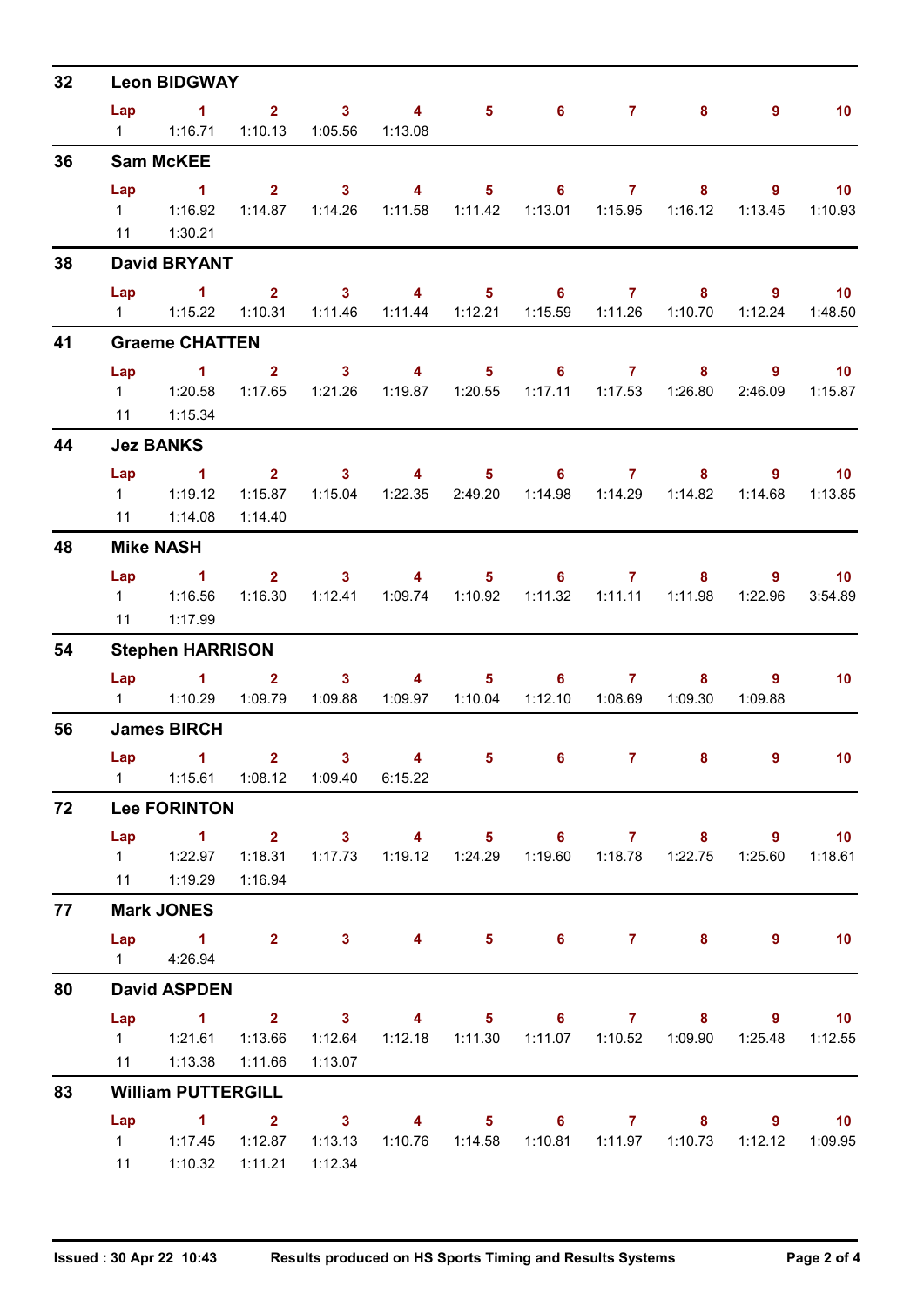| 32                   |                       | <b>Leon BIDGWAY</b>                                                                         |             |                  |                           |                                                                                 |  |                           |                        |                             |
|----------------------|-----------------------|---------------------------------------------------------------------------------------------|-------------|------------------|---------------------------|---------------------------------------------------------------------------------|--|---------------------------|------------------------|-----------------------------|
|                      | Lap                   | $1 \t2 \t3 \t4$                                                                             |             |                  |                           | $5 \t\t 6 \t\t 7 \t\t 8$                                                        |  |                           | $9^{\circ}$            | 10                          |
|                      | $1 \quad \Box$        | 1:16.71                                                                                     |             | 1:10.13  1:05.56 | 1:13.08                   |                                                                                 |  |                           |                        |                             |
| 36                   |                       | <b>Sam McKEE</b>                                                                            |             |                  |                           |                                                                                 |  |                           |                        |                             |
| 38<br>41<br>56<br>72 | Lap                   | $\sim$ 1                                                                                    |             | $2 \t 3$         | $\overline{4}$            | 5 6 7                                                                           |  | $8 -$                     |                        | $\overline{\phantom{0}}$ 10 |
|                      |                       |                                                                                             |             |                  |                           | 1:14.87  1:14.26  1:11.58  1:11.42  1:13.01  1:15.95                            |  | 1:16.12                   | 1:13.45                | 1:10.93                     |
|                      |                       | 11  1:30.21                                                                                 |             |                  |                           |                                                                                 |  |                           |                        |                             |
|                      |                       | <b>David BRYANT</b>                                                                         |             |                  |                           |                                                                                 |  |                           |                        |                             |
|                      | Lap<br>$1 \quad \Box$ | $\sim$ 1<br>1:15.22                                                                         | 1:10.31     |                  | 1:11.46  1:11.44  1:12.21 | $2 \qquad 3 \qquad 4 \qquad 5 \qquad 6 \qquad 7$                                |  | $8 -$<br>1:10.70          | - 9<br>1:12.24         | $\overline{10}$<br>1:48.50  |
|                      |                       | <b>Graeme CHATTEN</b>                                                                       |             |                  |                           |                                                                                 |  |                           |                        |                             |
|                      |                       |                                                                                             |             |                  |                           |                                                                                 |  |                           |                        |                             |
|                      |                       | $Lap$ 1                                                                                     | $2^{\circ}$ | 1:17.65  1:21.26 | 1:19.87  1:20.55          | 3 4 5 6 7 8                                                                     |  | 1:17.11  1:17.53  1:26.80 | $9^{\circ}$<br>2:46.09 | $\sim$ 10<br>1:15.87        |
|                      |                       | 11 1:15.34                                                                                  |             |                  |                           |                                                                                 |  |                           |                        |                             |
| 44                   |                       | <b>Jez BANKS</b>                                                                            |             |                  |                           |                                                                                 |  |                           |                        |                             |
|                      | Lap                   | $\sim$ $\sim$ 1                                                                             |             |                  |                           | 2 3 4 5 6 7 8                                                                   |  |                           |                        | $9 \t 10$                   |
|                      |                       | 1 1:19.12                                                                                   |             |                  |                           | 1:15.87  1:15.04  1:22.35  2:49.20  1:14.98  1:14.29  1:14.82                   |  |                           | 1:14.68                | 1:13.85                     |
|                      | 11                    | 1:14.08                                                                                     | 1:14.40     |                  |                           |                                                                                 |  |                           |                        |                             |
| 48                   |                       | <b>Mike NASH</b>                                                                            |             |                  |                           |                                                                                 |  |                           |                        |                             |
|                      | Lap                   | $\sim$ $\sim$ 1                                                                             |             |                  |                           | $2 \qquad 3 \qquad 4 \qquad 5 \qquad 6 \qquad 7$                                |  | $8 -$                     |                        | $9$ 10                      |
|                      | $1 \quad \Box$        | 1:16.56                                                                                     |             |                  |                           | 1:16.30  1:12.41  1:09.74  1:10.92  1:11.32  1:11.11  1:11.98                   |  |                           | 1:22.96                | 3:54.89                     |
|                      | 11                    | 1:17.99                                                                                     |             |                  |                           |                                                                                 |  |                           |                        |                             |
| 54                   |                       | <b>Stephen HARRISON</b>                                                                     |             |                  |                           |                                                                                 |  |                           |                        |                             |
|                      |                       | Lap 1 2 3 4 5 6 7                                                                           |             |                  |                           |                                                                                 |  |                           | $8 - 1$<br>9           | 10                          |
|                      |                       | 1   1:10.29   1:09.79                                                                       |             | 1:09.88          |                           |                                                                                 |  | 1:12.10  1:08.69  1:09.30 | 1:09.88                |                             |
|                      |                       | <b>James BIRCH</b>                                                                          |             |                  |                           |                                                                                 |  |                           |                        |                             |
|                      |                       | Lap $\begin{array}{ccc} 1 & 2 \end{array}$<br>1   1:15.61   1:08.12   1:09.40   6:15.22     |             |                  |                           | 3 4 5 6 7 8                                                                     |  |                           | 9                      | 10 <sup>°</sup>             |
|                      |                       | <b>Lee FORINTON</b>                                                                         |             |                  |                           |                                                                                 |  |                           |                        |                             |
|                      | Lap                   | 1 2 3 4 5 6 7 8 9                                                                           |             |                  |                           |                                                                                 |  |                           |                        |                             |
|                      |                       | 1   1:22.97   1:18.31   1:17.73   1:19.12   1:24.29   1:19.60   1:18.78   1:22.75   1:25.60 |             |                  |                           |                                                                                 |  |                           |                        | $\sim$ 10<br>1:18.61        |
|                      |                       | 11 1:19.29                                                                                  | 1:16.94     |                  |                           |                                                                                 |  |                           |                        |                             |
| 77                   |                       | <b>Mark JONES</b>                                                                           |             |                  |                           |                                                                                 |  |                           |                        |                             |
|                      |                       | Lap 1 2 3 4 5 6 7 8                                                                         |             |                  |                           |                                                                                 |  |                           | 9                      | 10                          |
|                      |                       | 1 4:26.94                                                                                   |             |                  |                           |                                                                                 |  |                           |                        |                             |
| 80                   |                       | <b>David ASPDEN</b>                                                                         |             |                  |                           |                                                                                 |  |                           |                        |                             |
|                      | Lap                   | 1 2 3 4 5 6 7 8 9 10                                                                        |             |                  |                           |                                                                                 |  |                           |                        |                             |
|                      |                       |                                                                                             |             |                  |                           | 1:13.66  1:12.64  1:12.18  1:11.30  1:11.07  1:10.52  1:09.90  1:25.48  1:12.55 |  |                           |                        |                             |
|                      |                       | 11 1:13.38                                                                                  | 1:11.66     | 1:13.07          |                           |                                                                                 |  |                           |                        |                             |
| 83                   |                       | <b>William PUTTERGILL</b>                                                                   |             |                  |                           |                                                                                 |  |                           |                        |                             |
|                      | Lap                   | 1 2 3 4 5 6 7 8 9 10<br>1 1:17.45                                                           | 1:12.87     | 1:13.13          |                           | 1:10.76  1:14.58  1:10.81  1:11.97  1:10.73  1:12.12  1:09.95                   |  |                           |                        |                             |
|                      |                       | 11  1:10.32  1:11.21                                                                        |             | 1:12.34          |                           |                                                                                 |  |                           |                        |                             |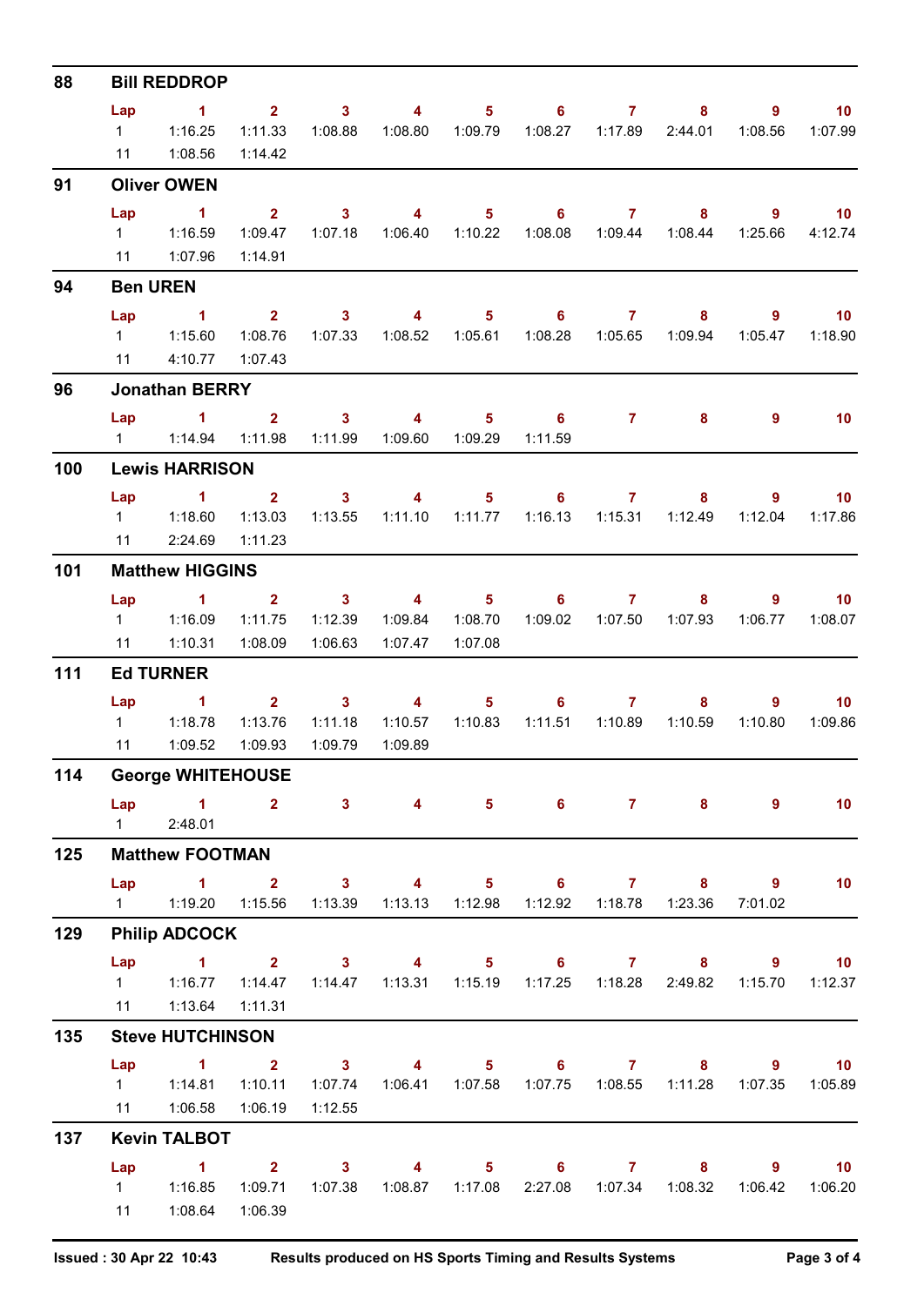| 88  |                       | <b>Bill REDDROP</b>                                             |                                          |                                    |                                                      |                             |                                             |                                                                                                                                                                                                                                                                                                                                                                                                   |         | 9<br>1:08.56<br>9<br>1:25.66<br>- 9<br>1:05.47<br>9<br>9<br>1:12.04<br>9<br>1:06.77<br>9<br>1:10.80<br>9<br>9<br>7:01.02<br>$9^{\circ}$<br>1:15.70<br>9 <sup>°</sup><br>1:07.35<br>$8 -$<br>$9^{\circ}$ |                              |  |
|-----|-----------------------|-----------------------------------------------------------------|------------------------------------------|------------------------------------|------------------------------------------------------|-----------------------------|---------------------------------------------|---------------------------------------------------------------------------------------------------------------------------------------------------------------------------------------------------------------------------------------------------------------------------------------------------------------------------------------------------------------------------------------------------|---------|---------------------------------------------------------------------------------------------------------------------------------------------------------------------------------------------------------|------------------------------|--|
|     | Lap<br>$1 \quad \Box$ | $\sim$ 1<br>1:16.25                                             | 1:11.33                                  | $2 \t 3$<br>1:08.88                | $\overline{4}$                                       |                             |                                             |                                                                                                                                                                                                                                                                                                                                                                                                   | 8       |                                                                                                                                                                                                         | $\overline{10}$<br>1:07.99   |  |
|     | 11                    | 1:08.56                                                         | 1:14.42                                  |                                    |                                                      |                             |                                             | $5 \t\t 6 \t\t 7$<br>5 6 7 8<br>2 3 4 5 6 7<br>8<br>1:08.28  1:05.65  1:09.94<br>$\overline{7}$<br>8<br>$5 \t\t 6 \t\t 7$<br>8<br>1:11.10  1:11.77  1:16.13  1:15.31  1:12.49<br>4 5 6 7<br>8 <sup>°</sup><br>1:09.02  1:07.50  1:07.93<br>$6\qquad 7$<br>8<br>1:10.83  1:11.51  1:10.89  1:10.59<br>$5 \t\t 6 \t\t 7$<br>8 <sup>1</sup><br>$5 \t\t 6 \t\t 7$<br>8<br>1:12.92  1:18.78<br>1:23.36 |         |                                                                                                                                                                                                         |                              |  |
| 91  | Lap                   | <b>Oliver OWEN</b><br>$\sim$ $\sim$ 1                           |                                          | 3 <sup>1</sup>                     | $\overline{4}$                                       |                             |                                             |                                                                                                                                                                                                                                                                                                                                                                                                   |         |                                                                                                                                                                                                         | $\blacksquare$ 10            |  |
|     |                       | 1 1:16.59<br>11  1:07.96                                        | $2^{\circ}$<br>1:14.91                   | 1:09.47  1:07.18                   |                                                      |                             |                                             |                                                                                                                                                                                                                                                                                                                                                                                                   |         |                                                                                                                                                                                                         | 4:12.74                      |  |
| 94  |                       | <b>Ben UREN</b>                                                 |                                          |                                    |                                                      |                             |                                             |                                                                                                                                                                                                                                                                                                                                                                                                   |         |                                                                                                                                                                                                         |                              |  |
|     | Lap                   | $\sim$ 1                                                        |                                          |                                    |                                                      |                             |                                             |                                                                                                                                                                                                                                                                                                                                                                                                   |         |                                                                                                                                                                                                         | $\blacksquare$ 10            |  |
|     |                       | 1 1:15.60<br>11 4:10.77                                         | 1:08.76<br>1:07.43                       | 1:07.33                            | 1:08.52                                              | 1:05.61                     |                                             |                                                                                                                                                                                                                                                                                                                                                                                                   |         |                                                                                                                                                                                                         | 1:18.90                      |  |
| 96  |                       | <b>Jonathan BERRY</b>                                           |                                          |                                    |                                                      |                             |                                             |                                                                                                                                                                                                                                                                                                                                                                                                   |         |                                                                                                                                                                                                         |                              |  |
|     | Lap                   | $\sim$ 1<br>1   1:14.94   1:11.98   1:11.99   1:09.60   1:09.29 |                                          | $2 \qquad \qquad 3$                | $\sim$ 4                                             | 5 <sub>1</sub>              | $\overline{\phantom{0}}$ 6<br>1:11.59       |                                                                                                                                                                                                                                                                                                                                                                                                   |         |                                                                                                                                                                                                         | 10                           |  |
| 100 | <b>Lewis HARRISON</b> |                                                                 |                                          |                                    |                                                      |                             |                                             |                                                                                                                                                                                                                                                                                                                                                                                                   |         |                                                                                                                                                                                                         |                              |  |
|     | Lap                   | $1 \t 2 \t 3$<br>1 1:18.60<br>11 2:24.69                        | 1:13.03<br>1:11.23                       | 1:13.55                            | $\overline{4}$                                       |                             |                                             |                                                                                                                                                                                                                                                                                                                                                                                                   |         |                                                                                                                                                                                                         | 10<br>1:17.86                |  |
| 101 |                       | <b>Matthew HIGGINS</b>                                          |                                          |                                    |                                                      |                             |                                             |                                                                                                                                                                                                                                                                                                                                                                                                   |         |                                                                                                                                                                                                         |                              |  |
|     | Lap                   | $\sim$ 1 $\sim$ 2                                               |                                          | $\overline{\mathbf{3}}$            |                                                      |                             |                                             |                                                                                                                                                                                                                                                                                                                                                                                                   |         |                                                                                                                                                                                                         | $\overline{10}$              |  |
|     | 11                    | 1 1:16.09<br>1:10.31                                            | 1:11.75<br>1:08.09                       | 1:12.39<br>1:06.63                 | 1:07.47                                              | 1:09.84  1:08.70<br>1:07.08 |                                             |                                                                                                                                                                                                                                                                                                                                                                                                   |         |                                                                                                                                                                                                         | 1:08.07                      |  |
| 111 |                       | <b>Ed TURNER</b>                                                |                                          |                                    |                                                      |                             |                                             |                                                                                                                                                                                                                                                                                                                                                                                                   |         |                                                                                                                                                                                                         |                              |  |
|     | Lap<br>11             | $\sim$ $\sim$ 1<br>1 1:18.78<br>1:09.52                         | 1:13.76<br>1:09.93                       | $2^2$ 3<br>1:11.18<br>1:09.79      | $\sim$ 4<br>1:10.57<br>1:09.89                       | 5 <sub>1</sub>              |                                             |                                                                                                                                                                                                                                                                                                                                                                                                   |         |                                                                                                                                                                                                         | $\blacksquare$ 10<br>1:09.86 |  |
| 114 |                       | <b>George WHITEHOUSE</b>                                        |                                          |                                    |                                                      |                             |                                             |                                                                                                                                                                                                                                                                                                                                                                                                   |         |                                                                                                                                                                                                         |                              |  |
|     | Lap                   | $\sim$ 1<br>1 2:48.01                                           | 2 <sup>1</sup>                           |                                    | $3 \t 4$                                             |                             |                                             |                                                                                                                                                                                                                                                                                                                                                                                                   |         |                                                                                                                                                                                                         | 10                           |  |
| 125 |                       | <b>Matthew FOOTMAN</b>                                          |                                          |                                    |                                                      |                             |                                             |                                                                                                                                                                                                                                                                                                                                                                                                   |         |                                                                                                                                                                                                         |                              |  |
|     | Lap                   | $\sim$ $\sim$ $\sim$ $\sim$ $\sim$ $\sim$                       | $\overline{\mathbf{2}}$                  | $\overline{\mathbf{3}}$            | $\overline{4}$                                       | 1:12.98                     |                                             |                                                                                                                                                                                                                                                                                                                                                                                                   |         |                                                                                                                                                                                                         | 10                           |  |
| 129 |                       | <b>Philip ADCOCK</b>                                            |                                          |                                    |                                                      |                             |                                             |                                                                                                                                                                                                                                                                                                                                                                                                   |         |                                                                                                                                                                                                         |                              |  |
|     | $1 \quad \Box$        | Lap 1 2 3 4 5 6 7 8<br>1:16.77                                  | 1:14.47                                  |                                    | 1:14.47  1:13.31  1:15.19  1:17.25  1:18.28  2:49.82 |                             |                                             |                                                                                                                                                                                                                                                                                                                                                                                                   |         |                                                                                                                                                                                                         | $\overline{10}$<br>1:12.37   |  |
|     | 11                    | 1:13.64                                                         | 1:11.31                                  |                                    |                                                      |                             |                                             |                                                                                                                                                                                                                                                                                                                                                                                                   |         |                                                                                                                                                                                                         |                              |  |
| 135 |                       | <b>Steve HUTCHINSON</b>                                         |                                          |                                    |                                                      |                             |                                             |                                                                                                                                                                                                                                                                                                                                                                                                   |         |                                                                                                                                                                                                         |                              |  |
|     | Lap                   | 1 1:14.81                                                       | $\overline{1}$ $\overline{2}$<br>1:10.11 | $\overline{\mathbf{3}}$<br>1:07.74 | $\overline{\mathbf{4}}$                              | $5 -$                       | 1:06.41  1:07.58  1:07.75  1:08.55  1:11.28 | $6\qquad 7$                                                                                                                                                                                                                                                                                                                                                                                       | $8 -$   |                                                                                                                                                                                                         | $\overline{10}$<br>1:05.89   |  |
|     | 11                    | 1:06.58                                                         | 1:06.19                                  | 1:12.55                            |                                                      |                             |                                             |                                                                                                                                                                                                                                                                                                                                                                                                   |         |                                                                                                                                                                                                         |                              |  |
| 137 | Lap                   | <b>Kevin TALBOT</b><br>$\sim$ 1                                 | $2^{\circ}$                              | $\overline{\mathbf{3}}$            | $\overline{\mathbf{4}}$                              |                             | $5 \t\t 6 \t\t 7$                           |                                                                                                                                                                                                                                                                                                                                                                                                   |         |                                                                                                                                                                                                         | $\overline{10}$              |  |
|     | $1 \quad$<br>11       | 1:16.85<br>1:08.64                                              | 1:09.71<br>1:06.39                       | 1:07.38                            | 1:08.87  1:17.08                                     |                             |                                             | 2:27.08 1:07.34                                                                                                                                                                                                                                                                                                                                                                                   | 1:08.32 | 1:06.42                                                                                                                                                                                                 | 1:06.20                      |  |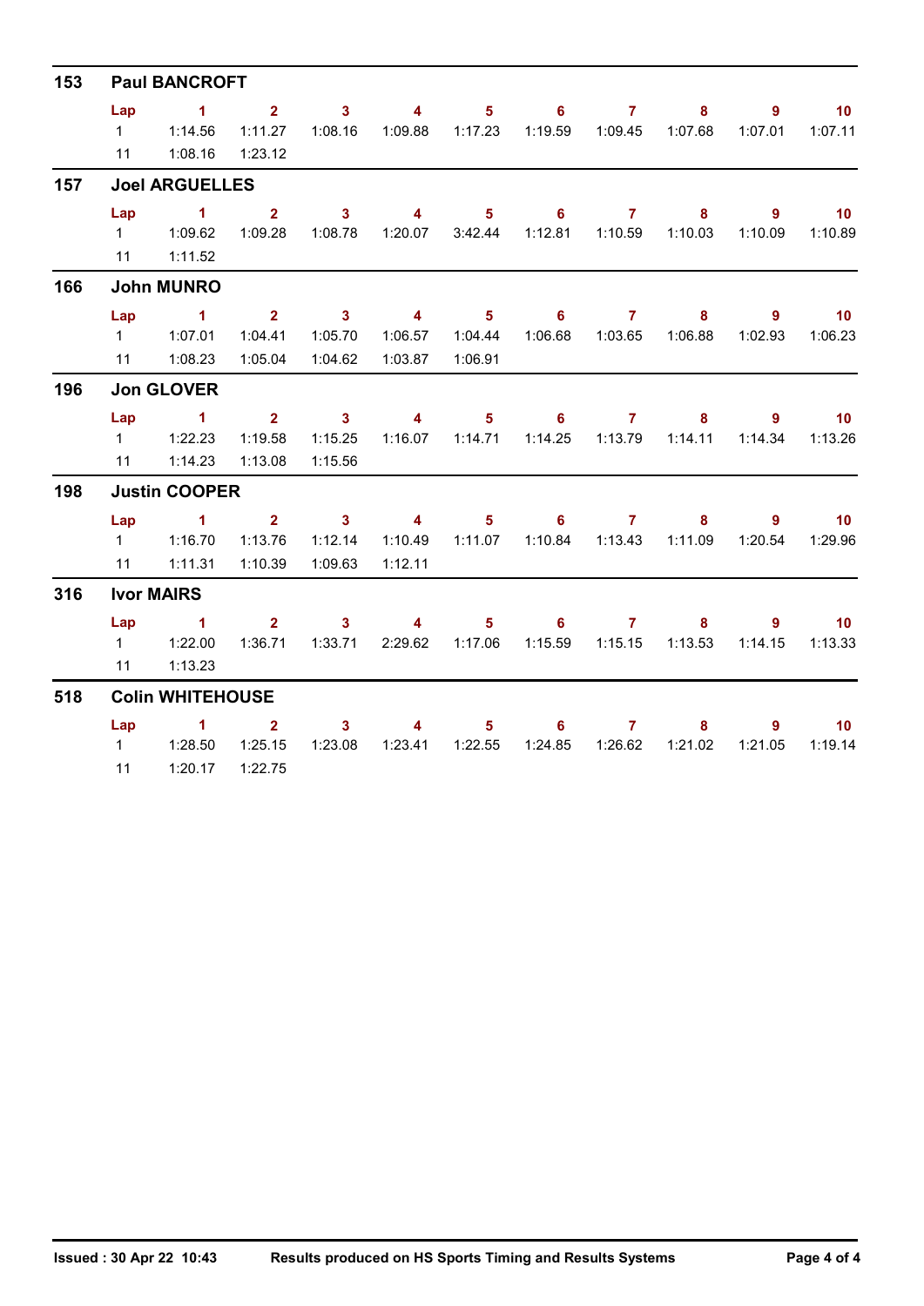| 153<br>157<br>166<br>196<br>198<br>316<br>518 | <b>Paul BANCROFT</b>   |                                    |                         |                         |                         |                            |                            |                     |                                             |                |                          |  |  |
|-----------------------------------------------|------------------------|------------------------------------|-------------------------|-------------------------|-------------------------|----------------------------|----------------------------|---------------------|---------------------------------------------|----------------|--------------------------|--|--|
|                                               | Lap                    | $\sim$ 1                           | 2 <sup>7</sup>          | $\overline{\mathbf{3}}$ | $\overline{\mathbf{4}}$ | 5 <sub>1</sub>             |                            | $6 \overline{7}$    | 8                                           | $\overline{9}$ | $\overline{10}$          |  |  |
|                                               | $1 \quad \blacksquare$ | 1:14.56                            | 1:11.27                 | 1:08.16                 | 1:09.88                 | 1:17.23                    |                            | 1:19.59   1:09.45   | 1:07.68                                     | 1:07.01        | 1:07.11                  |  |  |
|                                               |                        | 11  1:08.16                        | 1:23.12                 |                         |                         |                            |                            |                     |                                             |                |                          |  |  |
|                                               |                        | <b>Joel ARGUELLES</b>              |                         |                         |                         |                            |                            |                     |                                             |                |                          |  |  |
|                                               | Lap                    | $\sim$ $\sim$ $\sim$ $\sim$ $\sim$ | 2 <sup>1</sup>          | $\overline{\mathbf{3}}$ | $\overline{\mathbf{4}}$ | $5 -$                      |                            | $6 \overline{7}$    | $8\phantom{1}$                              | $9^{\circ}$    | 10                       |  |  |
|                                               | $1 \quad$              | 1:09.62                            | 1:09.28                 | 1:08.78                 | 1:20.07                 | 3:42.44                    |                            | 1:12.81  1:10.59    | 1:10.03                                     | 1:10.09        | 1:10.89                  |  |  |
|                                               |                        | 11 1:11.52                         |                         |                         |                         |                            |                            |                     |                                             |                |                          |  |  |
|                                               |                        | <b>John MUNRO</b>                  |                         |                         |                         |                            |                            |                     |                                             |                |                          |  |  |
|                                               | Lap                    | $\sim$ 1                           | $\overline{\mathbf{2}}$ |                         | $3 \t 4$                | $\sim$ 5 $\sim$            |                            | $6 \qquad \qquad 7$ | 8 <sup>1</sup>                              | $9^{\circ}$    | $\overline{10}$          |  |  |
|                                               |                        | $1 \t 1:07.01$                     | 1:04.41                 | 1:05.70                 | 1:06.57                 | 1:04.44                    |                            |                     | 1:06.68  1:03.65  1:06.88                   | 1:02.93        | 1:06.23                  |  |  |
|                                               | 11                     | 1:08.23                            | 1:05.04                 | 1:04.62                 | 1:03.87                 | 1:06.91                    |                            |                     |                                             |                |                          |  |  |
|                                               |                        | <b>Jon GLOVER</b>                  |                         |                         |                         |                            |                            |                     |                                             |                |                          |  |  |
|                                               |                        | Lap 1                              | $2^{\circ}$             | $\overline{\mathbf{3}}$ | $\overline{\mathbf{4}}$ | $\overline{\phantom{0}}$ 5 | $\overline{\phantom{a}}$ 6 | $\overline{7}$      | 8                                           | 9              | $\overline{\mathbf{10}}$ |  |  |
|                                               |                        | $1 \t 1:22.23$                     | 1:19.58                 | 1:15.25                 |                         |                            |                            |                     | 1:16.07  1:14.71  1:14.25  1:13.79  1:14.11 | 1:14.34        | 1:13.26                  |  |  |
|                                               |                        | 11  1:14.23                        | 1:13.08                 | 1:15.56                 |                         |                            |                            |                     |                                             |                |                          |  |  |
|                                               | <b>Justin COOPER</b>   |                                    |                         |                         |                         |                            |                            |                     |                                             |                |                          |  |  |
|                                               | Lap                    | $\sim$ 1                           | 2 <sub>2</sub>          | $\sim$ 3                | $\sim$ 4                |                            | $5 \t\t 6 \t\t 7$          |                     | 8                                           | 9              | 10                       |  |  |
|                                               |                        | 1   1:16.70                        | 1:13.76                 | 1:12.14                 | 1:10.49                 |                            |                            |                     | 1:11.07  1:10.84  1:13.43  1:11.09          | 1:20.54        | 1:29.96                  |  |  |
|                                               | 11                     | 1:11.31                            | 1:10.39                 | 1:09.63                 | 1:12.11                 |                            |                            |                     |                                             |                |                          |  |  |
|                                               |                        | <b>Ivor MAIRS</b>                  |                         |                         |                         |                            |                            |                     |                                             |                |                          |  |  |
|                                               | Lap                    | $\sim$ $\sim$ 1                    |                         | $2 \t 3$                | $\overline{\mathbf{A}}$ |                            | $5 \t\t 6 \t\t 7$          |                     | 8                                           | 9              | $\overline{10}$          |  |  |
|                                               |                        |                                    | 1:36.71                 | 1:33.71                 | 2:29.62                 | 1:17.06                    |                            |                     | 1:15.59  1:15.15  1:13.53                   | 1:14.15        | 1:13.33                  |  |  |
|                                               | 11                     | 1:13.23                            |                         |                         |                         |                            |                            |                     |                                             |                |                          |  |  |
|                                               |                        | <b>Colin WHITEHOUSE</b>            |                         |                         |                         |                            |                            |                     |                                             |                |                          |  |  |
|                                               | Lap                    | $\sim$ 1                           | 2 <sup>1</sup>          | 3 <sup>1</sup>          | $\overline{4}$          | 5 <sub>1</sub>             | 6                          | 7 <sup>7</sup>      | 8                                           | $9^{\circ}$    | 10 <sub>1</sub>          |  |  |
|                                               |                        |                                    | 1:25.15                 | 1:23.08                 |                         |                            | 1:24.85                    | 1:26.62             | 1:21.02                                     | 1:21.05        | 1:19.14                  |  |  |
|                                               | 11                     | 1:20.17                            | 1:22.75                 |                         |                         |                            |                            |                     |                                             |                |                          |  |  |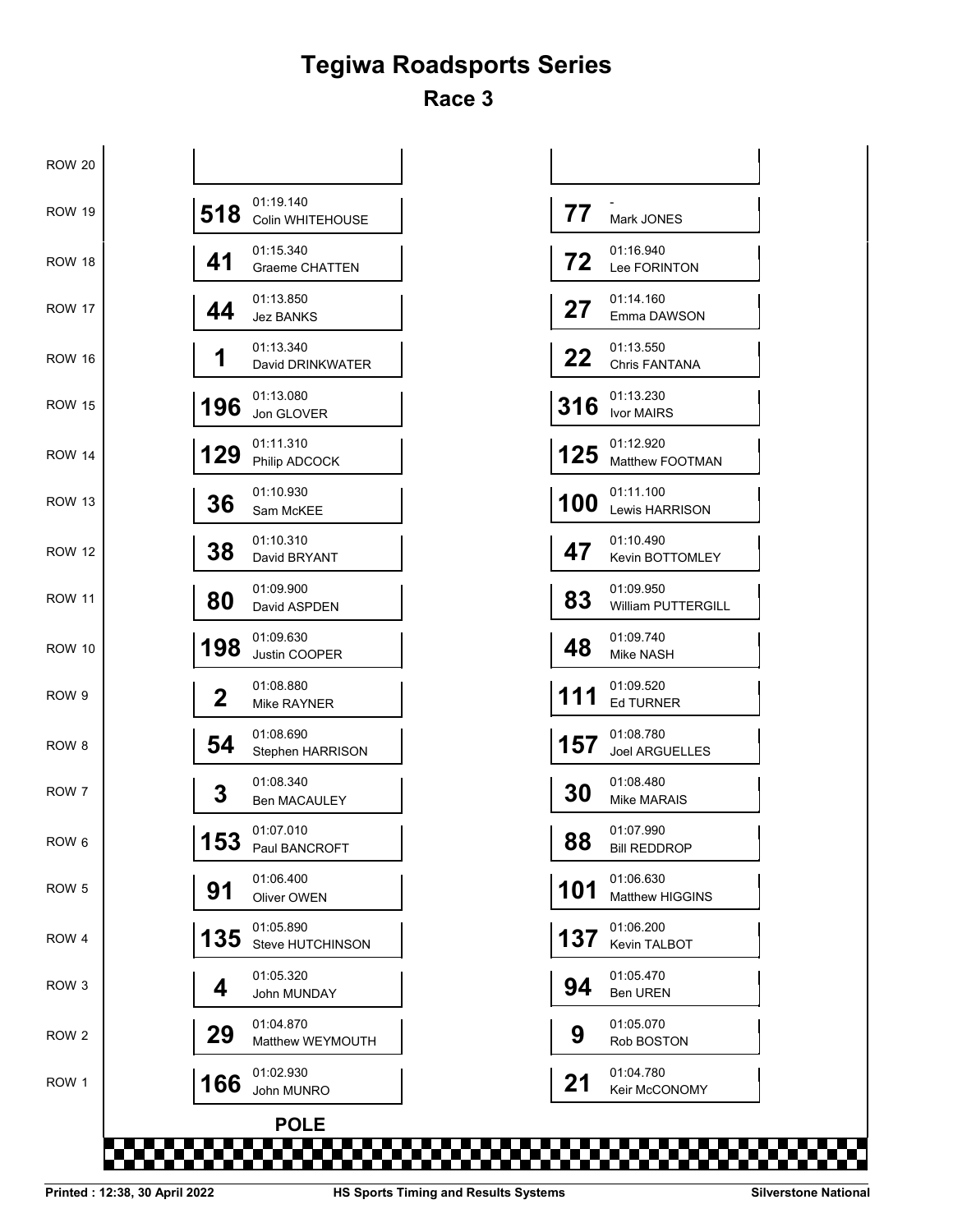### **Tegiwa Roadsports Series Race 3**

| <b>ROW 20</b>    |                                           |     |                                     |
|------------------|-------------------------------------------|-----|-------------------------------------|
| <b>ROW 19</b>    | 01:19.140<br>518<br>Colin WHITEHOUSE      | 77  | Mark JONES                          |
| <b>ROW 18</b>    | 01:15.340<br>41<br><b>Graeme CHATTEN</b>  | 72  | 01:16.940<br>Lee FORINTON           |
| <b>ROW 17</b>    | 01:13.850<br>44<br><b>Jez BANKS</b>       | 27  | 01:14.160<br>Emma DAWSON            |
| <b>ROW 16</b>    | 01:13.340<br>1<br>David DRINKWATER        | 22  | 01:13.550<br>Chris FANTANA          |
| <b>ROW 15</b>    | 01:13.080<br>196<br>Jon GLOVER            | 316 | 01:13.230<br><b>Ivor MAIRS</b>      |
| <b>ROW 14</b>    | 01:11.310<br>129<br>Philip ADCOCK         | 125 | 01:12.920<br>Matthew FOOTMAN        |
| <b>ROW 13</b>    | 01:10.930<br>36<br>Sam McKEE              | 100 | 01:11.100<br>Lewis HARRISON         |
| <b>ROW 12</b>    | 01:10.310<br>38<br>David BRYANT           | 47  | 01:10.490<br>Kevin BOTTOMLEY        |
| <b>ROW 11</b>    | 01:09.900<br>80<br>David ASPDEN           | 83  | 01:09.950<br>William PUTTERGILL     |
| <b>ROW 10</b>    | 01:09.630<br>198<br>Justin COOPER         | 48  | 01:09.740<br>Mike NASH              |
| ROW 9            | 01:08.880<br>$\mathbf 2$<br>Mike RAYNER   | 111 | 01:09.520<br>Ed TURNER              |
| ROW 8            | 01:08.690<br>54<br>Stephen HARRISON       | 157 | 01:08.780<br><b>Joel ARGUELLES</b>  |
| ROW 7            | 01:08.340<br>3<br><b>Ben MACAULEY</b>     | 30  | 01:08.480<br><b>Mike MARAIS</b>     |
| ROW 6            | 01:07.010<br>153<br>טט ו<br>Paul BANCROFT | 88  | 01:07.990<br><b>BIII REDDROP</b>    |
| ROW <sub>5</sub> | 01:06.400<br>91<br>Oliver OWEN            | 101 | 01:06.630<br><b>Matthew HIGGINS</b> |
| ROW 4            | 01:05.890<br>135<br>Steve HUTCHINSON      | 137 | 01:06.200<br>Kevin TALBOT           |
| ROW 3            | 01:05.320<br>4<br>John MUNDAY             | 94  | 01:05.470<br><b>Ben UREN</b>        |
| ROW 2            | 01:04.870<br>29<br>Matthew WEYMOUTH       | 9   | 01:05.070<br>Rob BOSTON             |
| ROW 1            | 01:02.930<br>166<br>John MUNRO            | 21  | 01:04.780<br>Keir McCONOMY          |
|                  | <b>POLE</b>                               |     |                                     |
|                  |                                           |     |                                     |

| 77  | Mark JONES                          |
|-----|-------------------------------------|
| 72  | 01:16.940<br>Lee FORINTON           |
| 27  | 01:14.160<br>Emma DAWSON            |
| 22  | 01:13.550<br><b>Chris FANTANA</b>   |
| 316 | 01:13.230<br><b>Ivor MAIRS</b>      |
| 125 | 01:12.920<br>Matthew FOOTMAN        |
| 100 | 01:11.100<br><b>Lewis HARRISON</b>  |
| 47  | 01:10.490<br><b>Kevin BOTTOMLEY</b> |
| 83  | 01:09.950<br>William PUTTERGILL     |
| 48  | 01:09.740<br>Mike NASH              |
| 111 | 01:09.520<br><b>Ed TURNER</b>       |
| 157 | 01:08.780<br>Joel ARGUELLES         |
| 30  | 01:08.480<br>Mike MARAIS            |
| 88  | 01:07.990<br><b>Bill REDDROP</b>    |
| 101 | 01:06.630<br>Matthew HIGGINS        |
| 137 | 01:06.200<br><b>Kevin TALBOT</b>    |
| 94  | 01:05.470<br><b>Ben UREN</b>        |
| g   | 01:05.070<br>Rob BOSTON             |
| 21  | 01:04.780<br><b>Keir McCONOMY</b>   |

n a mar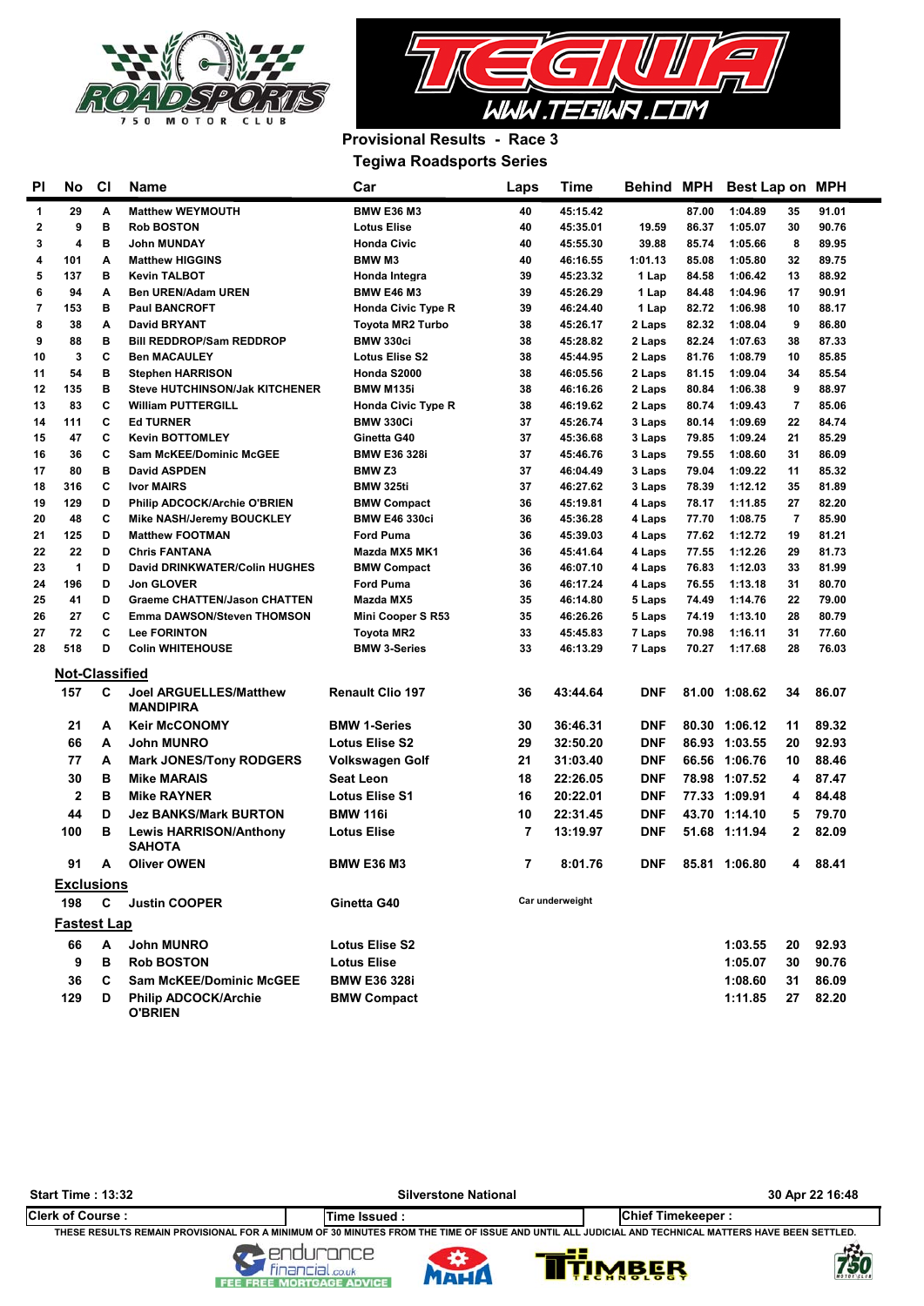



### **Provisional Results - Race 3 Tegiwa Roadsports Series**

| PI.         | No                    | CI          | Car<br><b>Name</b><br>Time<br>Laps                |                                   |          |                      |                  | <b>Behind MPH</b> | Best Lap on MPH               |                |
|-------------|-----------------------|-------------|---------------------------------------------------|-----------------------------------|----------|----------------------|------------------|-------------------|-------------------------------|----------------|
| 1           | 29                    | А           | <b>Matthew WEYMOUTH</b>                           | <b>BMW E36 M3</b>                 | 40       | 45:15.42             |                  | 87.00             | 1:04.89<br>35                 | 91.01          |
| $\mathbf 2$ | 9                     | в           | <b>Rob BOSTON</b>                                 | <b>Lotus Elise</b>                | 40       | 45:35.01             | 19.59            | 86.37             | 1:05.07<br>30                 | 90.76          |
| 3           | 4                     | в           | <b>John MUNDAY</b>                                | <b>Honda Civic</b>                | 40       | 45:55.30             | 39.88            | 85.74             | 8<br>1:05.66                  | 89.95          |
| 4           | 101                   | Α           | <b>Matthew HIGGINS</b>                            | <b>BMWM3</b>                      | 40       | 46:16.55             | 1:01.13          | 85.08             | 1:05.80<br>32                 | 89.75          |
| 5           | 137                   | в           | <b>Kevin TALBOT</b>                               | Honda Integra                     | 39       | 45:23.32             | 1 Lap            | 84.58             | 1:06.42<br>13                 | 88.92          |
| 6           | 94                    | A           | <b>Ben UREN/Adam UREN</b>                         | <b>BMW E46 M3</b>                 | 39       | 45:26.29             | 1 Lap            | 84.48             | 1:04.96<br>17                 | 90.91          |
| 7           | 153                   | в           | <b>Paul BANCROFT</b>                              | <b>Honda Civic Type R</b>         | 39       | 46:24.40             | 1 Lap            | 82.72             | 1:06.98<br>10                 | 88.17          |
| 8           | 38                    | A           | <b>David BRYANT</b>                               | <b>Tovota MR2 Turbo</b>           | 38       | 45:26.17             | 2 Laps           | 82.32             | 1:08.04<br>9                  | 86.80          |
| 9           | 88                    | в           | <b>Bill REDDROP/Sam REDDROP</b>                   | BMW 330ci                         | 38       | 45:28.82             | 2 Laps           | 82.24             | 1:07.63<br>38                 | 87.33          |
| 10          | 3                     | C           | <b>Ben MACAULEY</b>                               | 38                                | 45:44.95 | 2 Laps               | 81.76            | 1:08.79<br>10     | 85.85                         |                |
| 11          | 54                    | в           | <b>Stephen HARRISON</b>                           | 38                                | 46:05.56 | 2 Laps               | 81.15            | 1:09.04<br>34     | 85.54                         |                |
| 12          | 135                   | в           | <b>Steve HUTCHINSON/Jak KITCHENER</b>             | <b>BMW M135i</b>                  | 38       | 46:16.26             | 2 Laps           | 80.84             | 1:06.38<br>9                  | 88.97          |
| 13          | 83                    | С           | <b>William PUTTERGILL</b>                         | <b>Honda Civic Type R</b>         | 38       | 46:19.62             | 2 Laps           | 80.74             | 1:09.43<br>7                  | 85.06          |
| 14          | 111                   | C           | <b>Ed TURNER</b>                                  | <b>BMW 330Ci</b>                  | 37       | 45:26.74             | 3 Laps           | 80.14             | 1:09.69<br>22                 | 84.74          |
| 15          | 47                    | C           | <b>Kevin BOTTOMLEY</b>                            | Ginetta G40                       | 37       | 45:36.68             | 3 Laps           | 79.85             | 1:09.24<br>21                 | 85.29          |
| 16          | 36                    | С           | <b>Sam McKEE/Dominic McGEE</b>                    | <b>BMW E36 328i</b>               | 37       | 45:46.76             | 3 Laps           | 79.55             | 1:08.60<br>31                 | 86.09          |
| 17          | 80                    | в           | <b>David ASPDEN</b>                               | <b>BMW Z3</b>                     | 37       | 46:04.49             | 3 Laps           | 79.04             | 1:09.22<br>11                 | 85.32          |
| 18          | 316                   | C           | <b>Ivor MAIRS</b>                                 | <b>BMW 325ti</b>                  | 37       | 46:27.62             | 3 Laps           | 78.39             | 1:12.12<br>35                 | 81.89          |
| 19          | 129                   | D           | Philip ADCOCK/Archie O'BRIEN                      | <b>BMW Compact</b>                | 36       | 45:19.81             | 4 Laps           | 78.17             | 1:11.85<br>27                 | 82.20          |
| 20          | 48                    | С           | Mike NASH/Jeremy BOUCKLEY                         | <b>BMW E46 330ci</b>              | 36       | 45:36.28             | 4 Laps           | 77.70             | 1:08.75<br>$\overline{7}$     | 85.90          |
| 21          | 125                   | D           | <b>Matthew FOOTMAN</b>                            | <b>Ford Puma</b>                  | 36       | 45:39.03             | 4 Laps           | 77.62             | 1:12.72<br>19                 | 81.21          |
| 22          | 22                    | D           | <b>Chris FANTANA</b>                              | Mazda MX5 MK1                     | 36       | 45:41.64             | 4 Laps           | 77.55             | 1:12.26<br>29                 | 81.73          |
| 23          | $\mathbf{1}$          | D           | <b>David DRINKWATER/Colin HUGHES</b>              | <b>BMW Compact</b>                | 36       | 46:07.10             | 4 Laps           | 76.83             | 1:12.03<br>33                 | 81.99          |
| 24          | 196                   | D           | <b>Jon GLOVER</b>                                 | <b>Ford Puma</b>                  | 36       | 46:17.24             | 4 Laps           | 76.55             | 1:13.18<br>31                 | 80.70          |
| 25          | 41                    | D<br>C      | <b>Graeme CHATTEN/Jason CHATTEN</b>               | Mazda MX5                         | 35       | 46:14.80             | 5 Laps           | 74.49             | 1:14.76<br>22                 | 79.00          |
| 26          | 27<br>72              | С           | <b>Emma DAWSON/Steven THOMSON</b>                 | Mini Cooper S R53                 | 35       | 46:26.26             | 5 Laps           | 74.19             | 1:13.10<br>28<br>31           | 80.79          |
| 27<br>28    | 518                   | D           | <b>Lee FORINTON</b><br><b>Colin WHITEHOUSE</b>    | Toyota MR2<br><b>BMW 3-Series</b> | 33<br>33 | 45:45.83<br>46:13.29 | 7 Laps<br>7 Laps | 70.98<br>70.27    | 1:16.11<br>1:17.68<br>28      | 77.60<br>76.03 |
|             |                       |             |                                                   |                                   |          |                      |                  |                   |                               |                |
|             | <b>Not-Classified</b> |             |                                                   |                                   |          |                      |                  |                   |                               |                |
|             | 157                   | C           | <b>Joel ARGUELLES/Matthew</b><br><b>MANDIPIRA</b> | <b>Renault Clio 197</b>           | 36       | 43:44.64             | <b>DNF</b>       |                   | 81.00 1:08.62<br>34           | 86.07          |
|             | 21                    | A           | <b>Keir McCONOMY</b>                              | <b>BMW 1-Series</b>               | 30       | 36:46.31             | DNF              |                   | 80.30 1:06.12<br>11           | 89.32          |
|             | 66                    | A           | <b>John MUNRO</b>                                 | <b>Lotus Elise S2</b>             | 29       | 32:50.20             | DNF              |                   | 86.93 1:03.55<br>20           | 92.93          |
|             | 77                    | A           | <b>Mark JONES/Tony RODGERS</b>                    | <b>Volkswagen Golf</b>            | 21       | 31:03.40             | DNF              |                   | 66.56 1:06.76<br>10           | 88.46          |
|             | 30                    | в           | <b>Mike MARAIS</b>                                | <b>Seat Leon</b>                  | 18       | 22:26.05             | <b>DNF</b>       |                   | 78.98 1:07.52<br>4            | 87.47          |
|             | $\overline{2}$        | в           | <b>Mike RAYNER</b>                                | <b>Lotus Elise S1</b>             | 16       | 20:22.01             | <b>DNF</b>       |                   | 77.33 1:09.91<br>4            | 84.48          |
|             | 44                    | D           | <b>Jez BANKS/Mark BURTON</b>                      | <b>BMW 116i</b>                   | 10       | 22:31.45             | DNF              |                   | 43.70 1:14.10<br>5            | 79.70          |
|             | 100                   | в           | <b>Lewis HARRISON/Anthony</b><br><b>SAHOTA</b>    | <b>Lotus Elise</b>                | 7        | 13:19.97             | DNF              |                   | 51.68 1:11.94<br>$\mathbf{2}$ | 82.09          |
|             | 91                    | A           | <b>Oliver OWEN</b>                                | <b>BMW E36 M3</b>                 | 7        | 8:01.76              | <b>DNF</b>       | 85.81             | 1:06.80<br>4                  | 88.41          |
|             | <b>Exclusions</b>     |             |                                                   |                                   |          |                      |                  |                   |                               |                |
|             | 198                   | $\mathbf c$ | <b>Justin COOPER</b>                              | Ginetta G40                       |          | Car underweight      |                  |                   |                               |                |
|             | <u>Fastest Lap</u>    |             |                                                   |                                   |          |                      |                  |                   |                               |                |
|             | 66                    | Α           | John MUNRO                                        | <b>Lotus Elise S2</b>             |          |                      |                  |                   | 1:03.55<br>20                 | 92.93          |
|             | 9                     | в           | <b>Rob BOSTON</b>                                 | <b>Lotus Elise</b>                |          |                      |                  |                   | 1:05.07<br>30                 | 90.76          |
|             | 36                    | C           | <b>Sam McKEE/Dominic McGEE</b>                    | <b>BMW E36 328i</b>               |          |                      |                  |                   | 1:08.60<br>31                 | 86.09          |
|             | 129                   | D           | <b>Philip ADCOCK/Archie</b><br><b>O'BRIEN</b>     | <b>BMW Compact</b>                |          |                      |                  |                   | 1:11.85<br>27                 | 82.20          |

| <b>Start Time: 13:32</b> | <b>Silverstone National</b>                                                                                                                         | 30 Apr 22 16:48          |
|--------------------------|-----------------------------------------------------------------------------------------------------------------------------------------------------|--------------------------|
| <b>Clerk of Course:</b>  | lTime Issued :                                                                                                                                      | <b>Chief Timekeeper:</b> |
|                          | THESE RESULTS REMAIN PROVISIONAL FOR A MINIMUM OF 30 MINUTES FROM THE TIME OF ISSUE AND UNTIL ALL JUDICIAL AND TECHNICAL MATTERS HAVE BEEN SETTLED. |                          |
|                          | coduced and                                                                                                                                         | يعد                      |







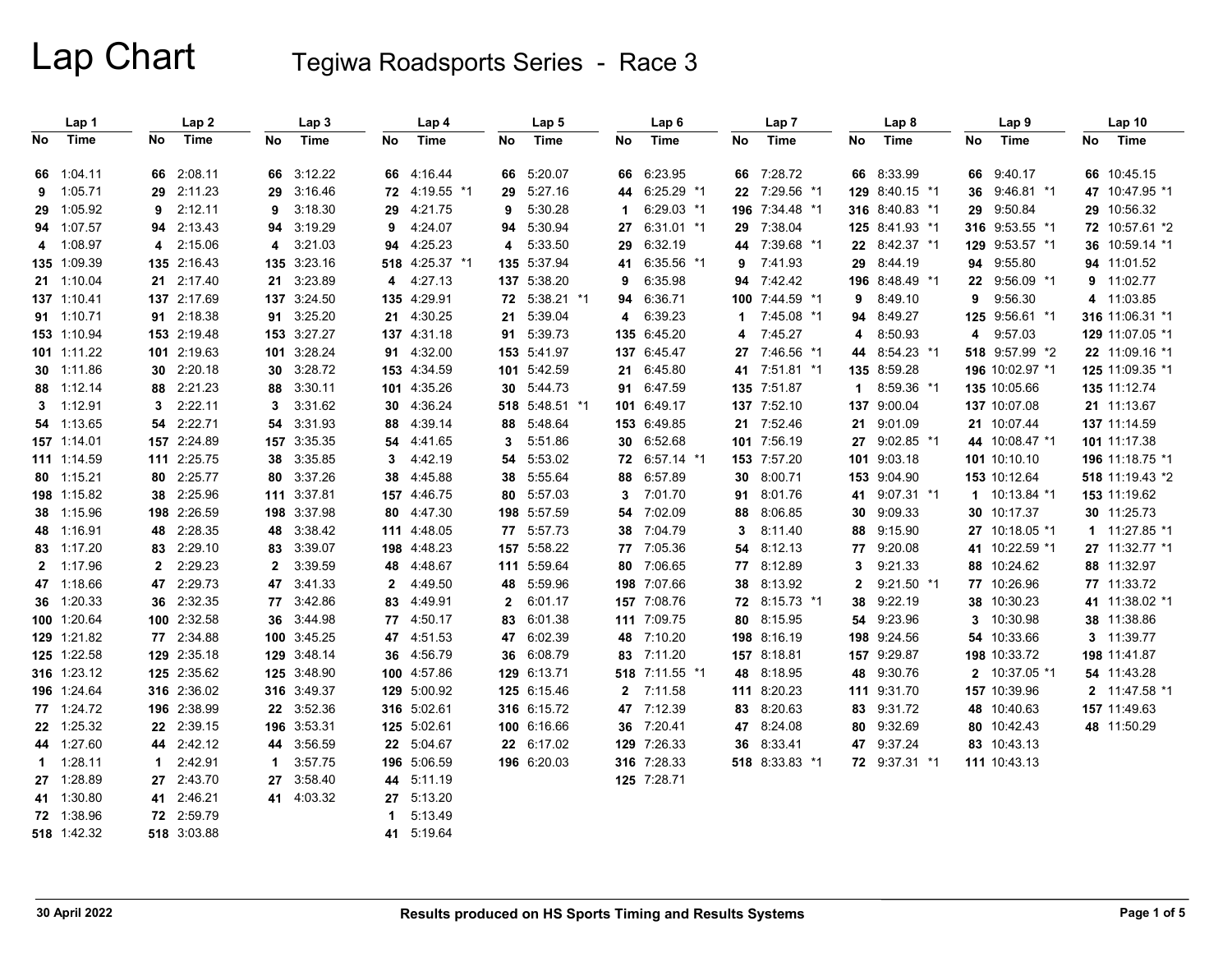|              | Lap 1       |              | Lap <sub>2</sub> |              | Lap <sub>3</sub> |             | Lap 4          |              | Lap <sub>5</sub> |             | Lap <sub>6</sub> |              | Lap <sub>7</sub> |     | Lap 8          |    | Lap <sub>9</sub> |    | Lap <sub>10</sub> |
|--------------|-------------|--------------|------------------|--------------|------------------|-------------|----------------|--------------|------------------|-------------|------------------|--------------|------------------|-----|----------------|----|------------------|----|-------------------|
| No.          | Time        | No           | Time             | No           | Time             | No          | Time           | No           | Time             | No          | <b>Time</b>      | No           | Time             | No  | Time           | No | Time             | No | Time              |
|              | 66 1:04.11  |              | 66 2:08.11       |              | 66 3:12.22       | 66          | 4:16.44        |              | 66 5:20.07       |             | 66 6:23.95       | 66 7:28.72   |                  |     | 66 8:33.99     |    | 66 9:40.17       |    | 66 10:45.15       |
| 9            | 1:05.71     |              | 29 2:11.23       | 29           | 3:16.46          | 72          | 4:19.55 *1     | 29           | 5.27.16          |             | 44 6:25.29 *1    |              | 22 7:29.56 *1    |     | 129 8:40.15 *1 | 36 | 9:46.81 *1       |    | 47 10:47.95 *1    |
|              | 29 1:05.92  | 9            | 2:12.11          | 9            | 3:18.30          | 29          | 4:21.75        | 9            | 5:30.28          | $\mathbf 1$ | 6:29.03 *1       |              | 196 7:34.48 *1   |     | 316 8:40.83 *1 | 29 | 9:50.84          |    | 29 10:56.32       |
|              | 94 1:07.57  |              | 94 2:13.43       | 94           | 3:19.29          | 9           | 4:24.07        | 94           | 5:30.94          |             | 27 6:31.01 *1    | 29           | 7:38.04          |     | 125 8:41.93 *1 |    | 316 9:53.55 *1   |    | 72 10:57.61 *2    |
|              | 4 1:08.97   |              | 4 2:15.06        | 4            | 3:21.03          | 94          | 4:25.23        | 4            | 5:33.50          | 29          | 6:32.19          |              | 44 7:39.68 *1    |     | 22 8:42.37 *1  |    | 129 9:53.57 *1   |    | 36 10:59.14 *1    |
|              | 135 1:09.39 |              | 135 2:16.43      |              | 135 3:23.16      |             | 518 4:25.37 *1 |              | 135 5:37.94      | 41          | 6:35.56 *1       | 9 7:41.93    |                  | 29  | 8:44.19        |    | 94 9:55.80       |    | 94 11:01.52       |
|              | 21 1:10.04  |              | 21 2:17.40       |              | 21 3:23.89       | 4           | 4.27.13        |              | 137 5:38.20      | 9           | 6:35.98          | 94 7:42.42   |                  |     | 196 8.48.49 *1 |    | 22 9:56.09 *1    |    | 9 11:02.77        |
|              | 137 1:10.41 |              | 137 2:17.69      |              | 137 3:24.50      | 135         | 4.29.91        |              | 72 5:38.21 *1    | 94          | 6:36.71          |              | 100 7:44.59 *1   | 9   | 8:49.10        | 9  | 9:56.30          |    | 4 11:03.85        |
|              | 91 1:10.71  |              | 91 2:18.38       |              | 91 3:25.20       | 21          | 4:30.25        | 21           | 5:39.04          | 4           | 6:39.23          | $\mathbf{1}$ | 7:45.08 *1       | 94  | 8:49.27        |    | 125 9:56.61 *1   |    | 316 11:06.31 *1   |
|              | 153 1:10.94 |              | 153 2:19.48      |              | 153 3:27.27      |             | 137 4:31.18    |              | 91 5:39.73       |             | 135 6:45.20      | 4            | 7:45.27          | 4   | 8:50.93        | 4  | 9:57.03          |    | 129 11:07.05 *1   |
|              | 101 1:11.22 |              | 101 2:19.63      |              | 101 3:28.24      | 91          | 4:32.00        |              | 153 5:41.97      |             | 137 6:45.47      |              | 27 7:46.56 *1    |     | 44 8:54.23 *1  |    | 518 9:57.99 *2   |    | 22 11:09.16 *1    |
|              | 30 1:11.86  |              | 30 2:20.18       | 30           | 3:28.72          |             | 153 4:34.59    |              | 101 5:42.59      |             | 21 6:45.80       |              | 41 7:51.81 *1    |     | 135 8:59.28    |    | 196 10:02.97 *1  |    | 125 11:09.35 *1   |
|              | 88 1:12.14  |              | 88 2:21.23       | 88           | 3:30.11          | 101         | 4:35.26        |              | 30 5:44.73       |             | 91 6:47.59       | 135 7:51.87  |                  | 1   | 8:59.36 *1     |    | 135 10:05.66     |    | 135 11:12.74      |
|              | 3 1:12.91   | 3            | 2:22.11          | 3            | 3:31.62          | 30          | 4:36.24        |              | 518 5:48.51 *1   |             | 101 6:49.17      | 137 7:52.10  |                  |     | 137 9:00.04    |    | 137 10:07.08     |    | 21 11:13.67       |
|              | 54 1:13.65  |              | 54 2:22.71       | 54           | 3:31.93          | 88          | 4:39.14        | 88           | 5:48.64          |             | 153 6:49.85      | 21 7:52.46   |                  | 21  | 9:01.09        |    | 21 10:07:44      |    | 137 11:14.59      |
|              | 157 1:14.01 |              | 157 2:24.89      |              | 157 3:35.35      | 54          | 4:41.65        | 3            | 5:51.86          |             | 30 6:52.68       | 101 7:56.19  |                  | 27  | $9:02.85$ *1   |    | 44 10:08.47 *1   |    | 101 11:17.38      |
|              | 111 1:14.59 |              | 111 2:25.75      | 38           | 3:35.85          | 3           | 4:42.19        | 54           | 5:53.02          |             | 72 6:57.14 *1    | 153 7:57.20  |                  |     | 101 9:03.18    |    | 101 10:10.10     |    | 196 11:18.75 *1   |
|              | 80 1:15.21  |              | 80 2:25.77       | 80           | 3:37.26          | 38          | 4:45.88        | 38           | 5:55.64          |             | 88 6:57.89       | 30 8:00.71   |                  |     | 153 9:04.90    |    | 153 10:12.64     |    | 518 11:19.43 *2   |
|              | 198 1:15.82 |              | 38 2:25.96       |              | 111 3:37.81      |             | 157 4:46.75    |              | 80 5:57.03       | 3           | 7:01.70          | 91 8:01.76   |                  | 41  | $9:07.31$ *1   |    | 1 10:13.84 *1    |    | 153 11:19.62      |
|              | 38 1:15.96  |              | 198 2:26.59      |              | 198 3:37.98      | 80          | 4:47.30        |              | 198 5:57.59      | 54          | 7:02.09          | 88 8:06.85   |                  | 30  | 9:09.33        |    | 30 10:17.37      |    | 30 11:25.73       |
|              | 48 1:16.91  |              | 48 2:28.35       | 48           | 3:38.42          |             | 111 4:48.05    |              | 77 5:57.73       | 38          | 7:04.79          | 3            | 8:11.40          | 88  | 9:15.90        |    | 27 10:18.05 *1   |    | $1 11.27.85*1$    |
|              | 83 1:17.20  |              | 83 2:29.10       | 83           | 3:39.07          | 198         | 4:48.23        |              | 157 5:58.22      |             | 77 7:05.36       | 54           | 8:12.13          | 77  | 9:20.08        |    | 41 10:22.59 *1   |    | 27 11:32.77 *1    |
| $\mathbf{2}$ | 1:17.96     | $\mathbf{2}$ | 2:29.23          | $\mathbf{2}$ | 3:39.59          | 48          | 4:48.67        |              | 111 5:59.64      |             | 80 7:06.65       | 77 8:12.89   |                  | 3   | 9:21.33        |    | 88 10:24.62      |    | 88 11:32.97       |
|              | 47 1.18.66  |              | 47 2:29.73       | 47           | 3:41.33          | 2           | 4:49.50        | 48           | 5.59.96          |             | 198 7:07.66      | 38 8:13.92   |                  | 2   | $9:21.50$ *1   |    | 77 10:26.96      |    | 77 11:33.72       |
|              | 36 1:20.33  |              | 36 2:32.35       |              | 77 3:42.86       | 83          | 4:49.91        | $\mathbf{2}$ | 6:01.17          |             | 157 7:08.76      |              | 72 8:15.73 *1    | 38  | 9:22.19        |    | 38 10:30.23      |    | 41 11:38.02 *1    |
|              | 100 1:20.64 |              | 100 2:32.58      | 36           | 3:44.98          | 77          | 4:50.17        | 83           | 6:01.38          |             | 111 7:09.75      | 80 8:15.95   |                  | 54  | 9:23.96        | 3  | 10:30.98         |    | 38 11:38.86       |
|              | 129 1:21.82 |              | 77 2:34.88       |              | 100 3:45.25      | 47          | 4:51.53        | 47           | 6:02.39          |             | 48 7:10.20       | 198 8:16.19  |                  | 198 | 9:24.56        |    | 54 10:33.66      |    | 3 11:39.77        |
|              | 125 1:22.58 |              | 129 2:35.18      |              | 129 3:48.14      | 36          | 4:56.79        |              | 36 6:08.79       |             | 83 7:11.20       | 157 8:18.81  |                  |     | 157 9:29.87    |    | 198 10:33.72     |    | 198 11:41.87      |
|              | 316 1:23.12 |              | 125 2:35.62      |              | 125 3:48.90      |             | 100 4:57.86    |              | 129 6:13.71      |             | 518 7:11.55 *1   | 48 8:18.95   |                  | 48  | 9:30.76        |    | 2 10:37.05 *1    |    | 54 11:43.28       |
|              | 196 1:24.64 |              | 316 2:36.02      |              | 316 3:49.37      |             | 129 5:00.92    |              | 125 6:15.46      |             | 2 7:11.58        | 111 8:20.23  |                  |     | 111 9:31.70    |    | 157 10:39.96     |    | 2 11:47.58 *1     |
|              | 77 1:24.72  |              | 196 2:38.99      |              | 22 3:52.36       |             | 316 5:02.61    |              | 316 6:15.72      |             | 47 7:12.39       | 83 8:20.63   |                  | 83  | 9:31.72        |    | 48 10:40.63      |    | 157 11:49.63      |
|              | 22 1:25.32  |              | 22 2:39.15       |              | 196 3:53.31      |             | 125 5:02.61    |              | 100 6:16.66      |             | 36 7:20.41       | 47 8:24.08   |                  | 80  | 9:32.69        |    | 80 10:42.43      |    | 48 11:50.29       |
|              | 44 1:27.60  |              | 44 2:42.12       | 44           | 3:56.59          | 22          | 5:04.67        |              | 22 6:17.02       |             | 129 7:26.33      | 36 8:33.41   |                  | 47  | 9:37.24        |    | 83 10:43.13      |    |                   |
| $\mathbf{1}$ | 1:28.11     | $\mathbf 1$  | 2:42.91          | 1            | 3:57.75          |             | 196 5:06.59    |              | 196 6:20.03      |             | 316 7:28.33      |              | 518 8:33.83 *1   |     | 72 9:37.31 *1  |    | 111 10:43.13     |    |                   |
|              | 27 1:28.89  |              | 27 2:43.70       | 27           | 3:58.40          | 44          | 5:11.19        |              |                  |             | 125 7:28.71      |              |                  |     |                |    |                  |    |                   |
|              | 41 1:30.80  |              | 41 2:46.21       |              | 41 4:03.32       | 27          | 5:13.20        |              |                  |             |                  |              |                  |     |                |    |                  |    |                   |
|              | 72 1:38.96  |              | 72 2:59.79       |              |                  | $\mathbf 1$ | 5:13.49        |              |                  |             |                  |              |                  |     |                |    |                  |    |                   |
|              | 518 1.42.32 |              | 518 3:03.88      |              |                  | 41          | 5:19.64        |              |                  |             |                  |              |                  |     |                |    |                  |    |                   |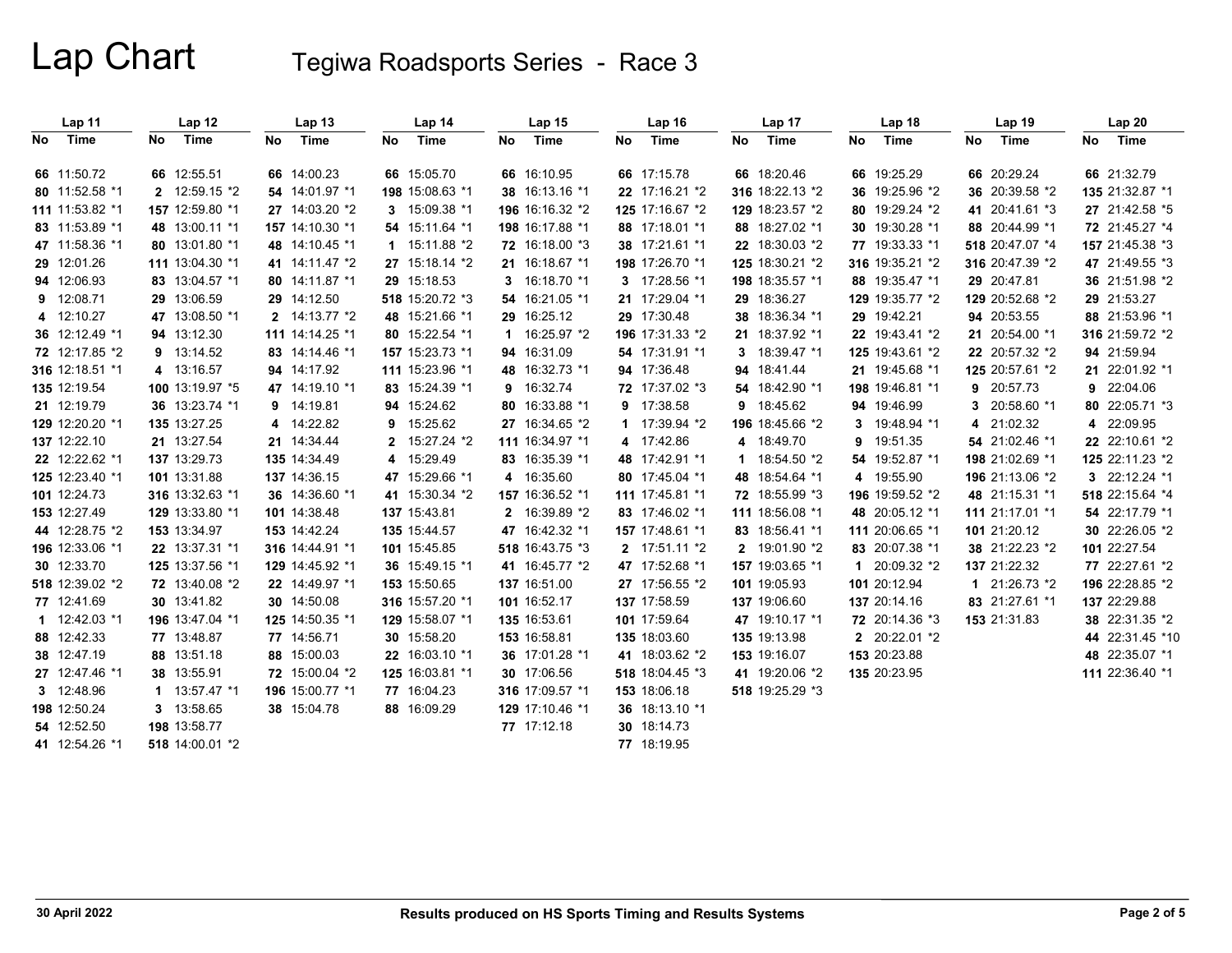|    | Lap 11          |     | Lap 12          |     | Lap <sub>13</sub> |     | Lap <sub>14</sub> | Lap 15          | Lap <sub>16</sub> |    | Lap 17          |     | Lap 18          |     | Lap <sub>19</sub> | Lap20           |
|----|-----------------|-----|-----------------|-----|-------------------|-----|-------------------|-----------------|-------------------|----|-----------------|-----|-----------------|-----|-------------------|-----------------|
| No | Time            | No. | Time            | No. | Time              | No. | Time              | No Time         | No Time           | No | Time            | No. | Time            | No. | Time              | No Time         |
|    | 66 11:50.72     |     | 66 12:55.51     |     | 66 14:00.23       |     | 66 15:05.70       | 66 16:10.95     | 66 17:15.78       |    | 66 18:20.46     |     | 66 19:25.29     |     | 66 20:29.24       | 66 21:32.79     |
|    | 80 11:52.58 *1  |     | 2 12:59.15 *2   |     | 54 14:01.97 *1    |     | 198 15:08.63 *1   | 38 16:13.16 *1  | 22 17:16.21 *2    |    | 316 18:22.13 *2 |     | 36 19:25.96 *2  |     | 36 20:39.58 *2    | 135 21:32.87 *1 |
|    | 111 11:53.82 *1 |     | 157 12:59.80 *1 |     | 27 14:03.20 *2    |     | 3 15:09.38 *1     | 196 16:16.32 *2 | 125 17:16.67 *2   |    | 129 18:23.57 *2 |     | 80 19:29.24 *2  |     | 41 20:41.61 *3    | 27 21:42.58 *5  |
|    | 83 11:53.89 *1  |     | 48 13:00.11 *1  |     | 157 14:10.30 *1   |     | 54 15:11.64 *1    | 198 16:17.88 *1 | 88 17:18.01 *1    |    | 88 18:27.02 *1  |     | 30 19:30.28 *1  |     | 88 20:44.99 *1    | 72 21:45.27 *4  |
|    | 47 11:58.36 *1  |     | 80 13:01.80 *1  |     | 48 14:10.45 *1    |     | $1 15:11.88*2$    | 72 16:18.00 *3  | 38 17:21.61 *1    |    | 22 18:30.03 *2  |     | 77 19:33.33 *1  |     | 518 20:47.07 *4   | 157 21:45.38 *3 |
|    | 29 12:01.26     |     | 111 13:04:30 *1 |     | 41 14:11.47 *2    |     | 27 15:18.14 *2    | 21 16:18.67 *1  | 198 17:26.70 *1   |    | 125 18:30.21 *2 |     | 316 19:35.21 *2 |     | 316 20:47.39 *2   | 47 21:49.55 *3  |
|    | 94 12:06.93     |     | 83 13:04.57 *1  |     | 80 14:11.87 *1    |     | 29 15:18.53       | 3 16:18.70 *1   | 3 17:28.56 *1     |    | 198 18:35.57 *1 |     | 88 19:35.47 *1  |     | 29 20:47.81       | 36 21:51.98 *2  |
|    | 9 12:08.71      |     | 29 13:06.59     |     | 29 14:12.50       |     | 518 15:20.72 *3   | 54 16:21.05 *1  | 21 17:29.04 *1    |    | 29 18:36.27     |     | 129 19:35.77 *2 |     | 129 20:52.68 *2   | 29 21:53.27     |
|    | 4 12:10.27      |     | 47 13:08.50 *1  |     | 2 14:13.77 *2     |     | 48 15:21.66 *1    | 29 16:25.12     | 29 17:30.48       |    | 38 18:36.34 *1  |     | 29 19:42.21     |     | 94 20:53.55       | 88 21:53.96 *1  |
|    | 36 12:12.49 *1  |     | 94 13:12.30     |     | 111 14:14.25 *1   |     | 80 15:22.54 *1    | 1 16:25.97 *2   | 196 17:31.33 *2   |    | 21 18:37.92 *1  |     | 22 19:43.41 *2  |     | 21 20:54.00 *1    | 316 21:59.72 *2 |
|    | 72 12:17.85 *2  |     | 9 13:14.52      |     | 83 14:14.46 *1    |     | 157 15:23.73 *1   | 94 16:31.09     | 54 17:31.91 *1    |    | 3 18:39.47 *1   |     | 125 19:43.61 *2 |     | 22 20:57.32 *2    | 94 21:59.94     |
|    | 316 12:18.51 *1 |     | 4 13:16.57      |     | 94 14:17.92       |     | 111 15:23.96 *1   | 48 16:32.73 *1  | 94 17:36.48       |    | 94 18:41.44     |     | 21 19:45.68 *1  |     | 125 20:57.61 *2   | 21 22:01.92 *1  |
|    | 135 12:19.54    |     | 100 13:19.97 *5 |     | 47 14:19.10 *1    |     | 83 15:24.39 *1    | 9 16:32.74      | 72 17:37.02 *3    |    | 54 18:42.90 *1  |     | 198 19:46.81 *1 |     | 9 20:57.73        | 9 22:04.06      |
|    | 21 12:19.79     |     | 36 13:23.74 *1  |     | 9 14:19.81        |     | 94 15:24.62       | 80 16:33.88 *1  | 9 17:38.58        |    | 9 18:45.62      |     | 94 19:46.99     | 3   | 20:58.60 *1       | 80 22:05.71 *3  |
|    | 129 12:20.20 *1 |     | 135 13:27.25    |     | 4 14:22.82        | 9   | 15:25.62          | 27 16:34.65 *2  | 1 17:39.94 *2     |    | 196 18:45.66 *2 | 3   | 19:48.94 *1     | 4   | 21:02.32          | 4 22:09.95      |
|    | 137 12:22.10    |     | 21 13:27.54     |     | 21 14:34:44       |     | 15:27.24 *2       | 111 16:34.97 *1 | 4 17:42.86        |    | 4 18:49.70      | 9   | 19:51.35        |     | 54 21:02.46 *1    | 22 22:10.61 *2  |
|    | 22 12:22.62 *1  |     | 137 13:29.73    |     | 135 14:34.49      | 4   | 15:29.49          | 83 16:35.39 *1  | 48 17:42.91 *1    |    | 1 18:54.50 *2   |     | 54 19:52.87 *1  |     | 198 21:02.69 *1   | 125 22:11.23 *2 |
|    | 125 12:23.40 *1 |     | 101 13:31.88    |     | 137 14:36.15      |     | 47 15:29.66 *1    | 4 16:35.60      | 80 17:45.04 *1    |    | 48 18:54.64 *1  |     | 4 19:55.90      |     | 196 21:13.06 *2   | 3 22:12.24 *1   |
|    | 101 12:24.73    |     | 316 13:32.63 *1 |     | 36 14:36.60 *1    |     | 41 15:30.34 *2    | 157 16:36.52 *1 | 111 17:45.81 *1   |    | 72 18:55.99 *3  |     | 196 19:59.52 *2 |     | 48 21:15.31 *1    | 518 22:15.64 *4 |
|    | 153 12:27.49    |     | 129 13:33.80 *1 |     | 101 14:38.48      |     | 137 15:43.81      | 2 16:39.89 *2   | 83 17:46.02 *1    |    | 111 18:56.08 *1 |     | 48 20:05.12 *1  |     | 111 21:17.01 *1   | 54 22:17.79 *1  |
|    | 44 12:28.75 *2  |     | 153 13:34.97    |     | 153 14:42.24      |     | 135 15:44.57      | 47 16:42.32 *1  | 157 17:48.61 *1   |    | 83 18:56.41 *1  |     | 111 20:06.65 *1 |     | 101 21:20.12      | 30 22:26.05 *2  |
|    | 196 12:33.06 *1 |     | 22 13:37.31 *1  |     | 316 14:44.91 *1   |     | 101 15:45.85      | 518 16:43.75 *3 | 2 17:51.11 *2     |    | 2 19:01.90 *2   |     | 83 20:07.38 *1  |     | 38 21:22.23 *2    | 101 22:27.54    |
|    | 30 12:33.70     |     | 125 13:37.56 *1 |     | 129 14:45.92 *1   |     | 36 15:49.15 *1    | 41 16:45.77 *2  | 47 17:52.68 *1    |    | 157 19:03.65 *1 |     | 1 20:09.32 *2   |     | 137 21:22.32      | 77 22:27.61 *2  |
|    | 518 12:39.02 *2 |     | 72 13:40.08 *2  |     | 22 14:49.97 *1    |     | 153 15:50.65      | 137 16:51.00    | 27 17:56.55 *2    |    | 101 19:05.93    |     | 101 20:12.94    |     | 1 21:26.73 *2     | 196 22:28.85 *2 |
|    | 77 12:41.69     |     | 30 13:41.82     |     | 30 14:50.08       |     | 316 15:57.20 *1   | 101 16:52.17    | 137 17:58.59      |    | 137 19:06.60    |     | 137 20:14.16    |     | 83 21:27.61 *1    | 137 22:29.88    |
|    | 1 12:42.03 *1   |     | 196 13:47.04 *1 |     | 125 14:50.35 *1   |     | 129 15:58.07 *1   | 135 16:53.61    | 101 17:59.64      |    | 47 19:10.17 *1  |     | 72 20:14.36 *3  |     | 153 21:31.83      | 38 22:31.35 *2  |
|    | 88 12:42.33     |     | 77 13:48.87     |     | 77 14:56.71       |     | 30 15:58.20       | 153 16:58.81    | 135 18:03.60      |    | 135 19:13.98    |     | 2 20:22.01 *2   |     |                   | 44 22:31.45 *10 |
|    | 38 12:47.19     |     | 88 13:51.18     |     | 88 15:00.03       |     | 22 16:03.10 *1    | 36 17:01.28 *1  | 41 18:03.62 *2    |    | 153 19:16.07    |     | 153 20:23.88    |     |                   | 48 22:35.07 *1  |
|    | 27 12:47.46 *1  |     | 38 13:55 91     |     | 72 15:00.04 *2    |     | 125 16:03.81 *1   | 30 17:06.56     | 518 18:04.45 *3   |    | 41 19:20.06 *2  |     | 135 20:23.95    |     |                   | 111 22:36.40 *1 |
|    | 3 12:48.96      |     | $1 13:57.47*1$  |     | 196 15:00.77 *1   |     | 77 16:04.23       | 316 17:09.57 *1 | 153 18:06.18      |    | 518 19:25.29 *3 |     |                 |     |                   |                 |
|    | 198 12:50.24    |     | 3 13:58.65      |     | 38 15:04.78       |     | 88 16:09.29       | 129 17:10.46 *1 | 36 18:13.10 *1    |    |                 |     |                 |     |                   |                 |
|    | 54 12:52.50     |     | 198 13:58.77    |     |                   |     |                   | 77 17:12.18     | 30 18:14.73       |    |                 |     |                 |     |                   |                 |
|    | 41 12:54.26 *1  |     | 518 14:00.01 *2 |     |                   |     |                   |                 | 77 18:19.95       |    |                 |     |                 |     |                   |                 |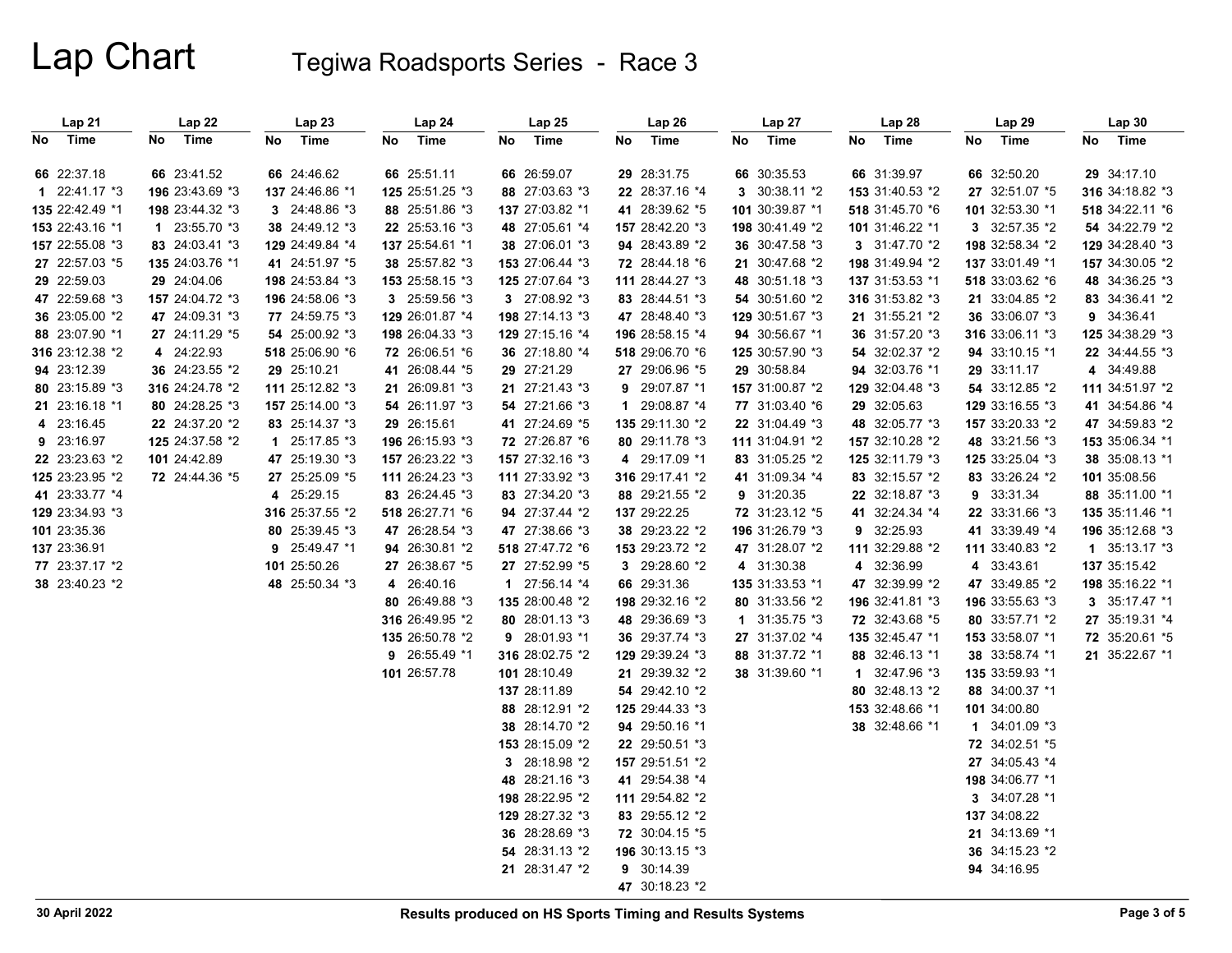| Lap21           | Lap 22          | Lap23           | Lap24           | Lap25           | Lap 26          | Lap 27          | Lap28           | Lap 29            | Lap 30          |
|-----------------|-----------------|-----------------|-----------------|-----------------|-----------------|-----------------|-----------------|-------------------|-----------------|
| No Time         | Time<br>No      | Time<br>No      | Time<br>No      | Time<br>No      | No Time         | No<br>Time      | No<br>Time      | No<br>Time        | No Time         |
| 66 22:37.18     | 66 23:41.52     | 66 24:46.62     | 66 25:51.11     | 66 26:59.07     | 29 28:31.75     | 66 30:35.53     | 66 31:39.97     | 66 32:50.20       | 29 34:17.10     |
| $122:41.17*3$   | 196 23:43.69 *3 | 137 24:46.86 *1 | 125 25:51.25 *3 | 88 27:03.63 *3  | 22 28:37.16 *4  | 3 30:38.11 *2   | 153 31:40.53 *2 | 27 32:51.07 *5    | 316 34:18.82 *3 |
| 135 22:42.49 *1 | 198 23:44.32 *3 | 3 24:48.86 *3   | 88 25:51.86 *3  | 137 27:03.82 *1 | 41 28:39.62 *5  | 101 30:39.87 *1 | 518 31:45.70 *6 | 101 32:53.30 *1   | 518 34:22.11 *6 |
| 153 22:43.16 *1 | 1 $23:55.70*3$  | 38 24:49.12 *3  | 22 25:53.16 *3  | 48 27:05.61 *4  | 157 28:42.20 *3 | 198 30:41.49 *2 | 101 31:46.22 *1 | 3 32:57.35 *2     | 54 34:22.79 *2  |
| 157 22:55.08 *3 | 83 24:03.41 *3  | 129 24:49.84 *4 | 137 25:54.61 *1 | 38 27:06.01 *3  | 94 28:43.89 *2  | 36 30:47.58 *3  | 3 31:47.70 *2   | 198 32:58.34 *2   | 129 34:28.40 *3 |
| 27 22:57.03 *5  | 135 24:03.76 *1 | 41 24:51.97 *5  | 38 25:57.82 *3  | 153 27:06.44 *3 | 72 28:44.18 *6  | 21 30:47.68 *2  | 198 31:49.94 *2 | 137 33:01.49 *1   | 157 34:30.05 *2 |
| 29 22:59.03     | 29 24:04.06     | 198 24:53.84 *3 | 153 25:58.15 *3 | 125 27:07.64 *3 | 111 28:44.27 *3 | 48 30:51.18 *3  | 137 31:53.53 *1 | 518 33:03.62 *6   | 48 34:36.25 *3  |
| 47 22:59.68 *3  | 157 24:04.72 *3 | 196 24:58.06 *3 | 3 25:59.56 *3   | 3 27:08.92 *3   | 83 28:44.51 *3  | 54 30:51.60 *2  | 316 31:53.82 *3 | 21 33:04.85 *2    | 83 34:36.41 *2  |
| 36 23:05.00 *2  | 47 24:09.31 *3  | 77 24:59.75 *3  | 129 26:01.87 *4 | 198 27:14.13 *3 | 47 28:48.40 *3  | 129 30:51.67 *3 | 21 31:55.21 *2  | 36 33:06.07 *3    | 9 34:36.41      |
| 88 23:07.90 *1  | 27 24:11.29 *5  | 54 25:00.92 *3  | 198 26:04.33 *3 | 129 27:15.16 *4 | 196 28:58.15 *4 | 94 30:56.67 *1  | 36 31:57.20 *3  | 316 33:06.11 *3   | 125 34:38.29 *3 |
| 316 23:12.38 *2 | 4 24:22.93      | 518 25:06.90 *6 | 72 26:06.51 *6  | 36 27:18.80 *4  | 518 29:06.70 *6 | 125 30:57.90 *3 | 54 32:02.37 *2  | 94 33:10.15 *1    | 22 34:44.55 *3  |
| 94 23:12.39     | 36 24:23.55 *2  | 29 25:10.21     | 41 26:08.44 *5  | 29 27:21.29     | 27 29:06.96 *5  | 29 30:58.84     | 94 32:03.76 *1  | 29 33:11.17       | 4 34:49.88      |
| 80 23:15.89 *3  | 316 24:24.78 *2 | 111 25:12.82 *3 | 21 26:09.81 *3  | 21 27:21.43 *3  | 9 29:07.87 *1   | 157 31:00.87 *2 | 129 32:04.48 *3 | 54 33:12.85 *2    | 111 34:51.97 *2 |
| 21 23:16.18 *1  | 80 24:28.25 *3  | 157 25:14.00 *3 | 54 26:11.97 *3  | 54 27:21.66 *3  | 1 29:08.87 *4   | 77 31:03.40 *6  | 29 32:05.63     | 129 33:16.55 *3   | 41 34:54.86 *4  |
| 4 23:16.45      | 22 24:37.20 *2  | 83 25:14.37 *3  | 29 26:15.61     | 41 27:24.69 *5  | 135 29:11.30 *2 | 22 31:04.49 *3  | 48 32:05.77 *3  | 157 33:20.33 *2   | 47 34:59.83 *2  |
| 9 23:16.97      | 125 24:37.58 *2 | 1 25:17.85 *3   | 196 26:15.93 *3 | 72 27:26.87 *6  | 80 29:11.78 *3  | 111 31:04.91 *2 | 157 32:10.28 *2 | 48 33:21.56 *3    | 153 35:06.34 *1 |
| 22 23:23.63 *2  | 101 24:42.89    | 47 25:19.30 *3  | 157 26:23.22 *3 | 157 27:32.16 *3 | 4 29:17.09 *1   | 83 31:05.25 *2  | 125 32:11.79 *3 | 125 33:25.04 *3   | 38 35:08.13 *1  |
| 125 23:23.95 *2 | 72 24:44.36 *5  | 27 25:25.09 *5  | 111 26:24.23 *3 | 111 27:33.92 *3 | 316 29:17.41 *2 | 41 31:09.34 *4  | 83 32:15.57 *2  | 83 33:26.24 *2    | 101 35:08.56    |
| 41 23:33.77 *4  |                 | 4 25:29.15      | 83 26:24.45 *3  | 83 27:34.20 *3  | 88 29:21.55 *2  | 9 31:20.35      | 22 32:18.87 *3  | 9 33:31.34        | 88 35:11.00 *1  |
| 129 23:34.93 *3 |                 | 316 25:37.55 *2 | 518 26:27.71 *6 | 94 27:37.44 *2  | 137 29:22.25    | 72 31:23.12 *5  | 41 32:24.34 *4  | 22 33:31.66 *3    | 135 35:11.46 *1 |
| 101 23:35.36    |                 | 80 25:39.45 *3  | 47 26:28.54 *3  | 47 27:38.66 *3  | 38 29:23.22 *2  | 196 31:26.79 *3 | 9 32:25.93      | 41 33:39.49 *4    | 196 35:12.68 *3 |
| 137 23:36.91    |                 | 9 25:49.47 *1   | 94 26:30.81 *2  | 518 27:47.72 *6 | 153 29:23.72 *2 | 47 31:28.07 *2  | 111 32:29.88 *2 | 111 33:40.83 *2   | 1 $35:13.17*3$  |
| 77 23:37.17 *2  |                 | 101 25:50.26    | 27 26:38.67 *5  | 27 27:52.99 *5  | 3 29:28.60 *2   | 4 31:30.38      | 4 32:36.99      | 4 33.43.61        | 137 35:15.42    |
| 38 23:40.23 *2  |                 | 48 25:50.34 *3  | 4 26:40.16      | 1 27:56.14 *4   | 66 29:31.36     | 135 31:33.53 *1 | 47 32:39.99 *2  | 47 33:49.85 *2    | 198 35:16.22 *1 |
|                 |                 |                 | 80 26:49.88 *3  | 135 28:00.48 *2 | 198 29:32.16 *2 | 80 31:33.56 *2  | 196 32:41.81 *3 | 196 33:55.63 *3   | 3 35:17.47 *1   |
|                 |                 |                 | 316 26:49.95 *2 | 80 28:01.13 *3  | 48 29:36.69 *3  | 1 $31:35.75*3$  | 72 32:43.68 *5  | 80 33:57.71 *2    | 27 35:19.31 *4  |
|                 |                 |                 | 135 26:50.78 *2 | 9 28:01.93 *1   | 36 29:37.74 *3  | 27 31:37.02 *4  | 135 32:45.47 *1 | 153 33:58.07 *1   | 72 35:20.61 *5  |
|                 |                 |                 | 9 26:55.49 *1   | 316 28:02.75 *2 | 129 29:39.24 *3 | 88 31:37.72 *1  | 88 32:46.13 *1  | 38 33:58.74 *1    | 21 35:22.67 *1  |
|                 |                 |                 | 101 26:57.78    | 101 28:10.49    | 21 29:39.32 *2  | 38 31:39.60 *1  | 1 32:47.96 *3   | 135 33:59.93 *1   |                 |
|                 |                 |                 |                 | 137 28:11.89    | 54 29:42.10 *2  |                 | 80 32:48.13 *2  | 88 34:00.37 *1    |                 |
|                 |                 |                 |                 | 88 28:12.91 *2  | 125 29:44.33 *3 |                 | 153 32:48.66 *1 | 101 34:00.80      |                 |
|                 |                 |                 |                 | 38 28:14.70 *2  | 94 29:50.16 *1  |                 | 38 32:48.66 *1  | $1$ 34:01.09 $*3$ |                 |
|                 |                 |                 |                 | 153 28:15.09 *2 | 22 29:50.51 *3  |                 |                 | 72 34:02.51 *5    |                 |
|                 |                 |                 |                 | 3 28:18.98 *2   | 157 29:51.51 *2 |                 |                 | 27 34:05.43 *4    |                 |
|                 |                 |                 |                 | 48 28:21.16 *3  | 41 29:54.38 *4  |                 |                 | 198 34:06.77 *1   |                 |
|                 |                 |                 |                 | 198 28:22.95 *2 | 111 29:54.82 *2 |                 |                 | 3 34:07.28 *1     |                 |
|                 |                 |                 |                 | 129 28:27.32 *3 | 83 29:55.12 *2  |                 |                 | 137 34:08.22      |                 |
|                 |                 |                 |                 | 36 28:28.69 *3  | 72 30:04.15 *5  |                 |                 | 21 34:13.69 *1    |                 |
|                 |                 |                 |                 | 54 28:31.13 *2  | 196 30:13.15 *3 |                 |                 | 36 34:15.23 *2    |                 |
|                 |                 |                 |                 | 21 28:31.47 *2  | 9 30:14.39      |                 |                 | 94 34:16.95       |                 |
|                 |                 |                 |                 |                 | 47 30:18.23 *2  |                 |                 |                   |                 |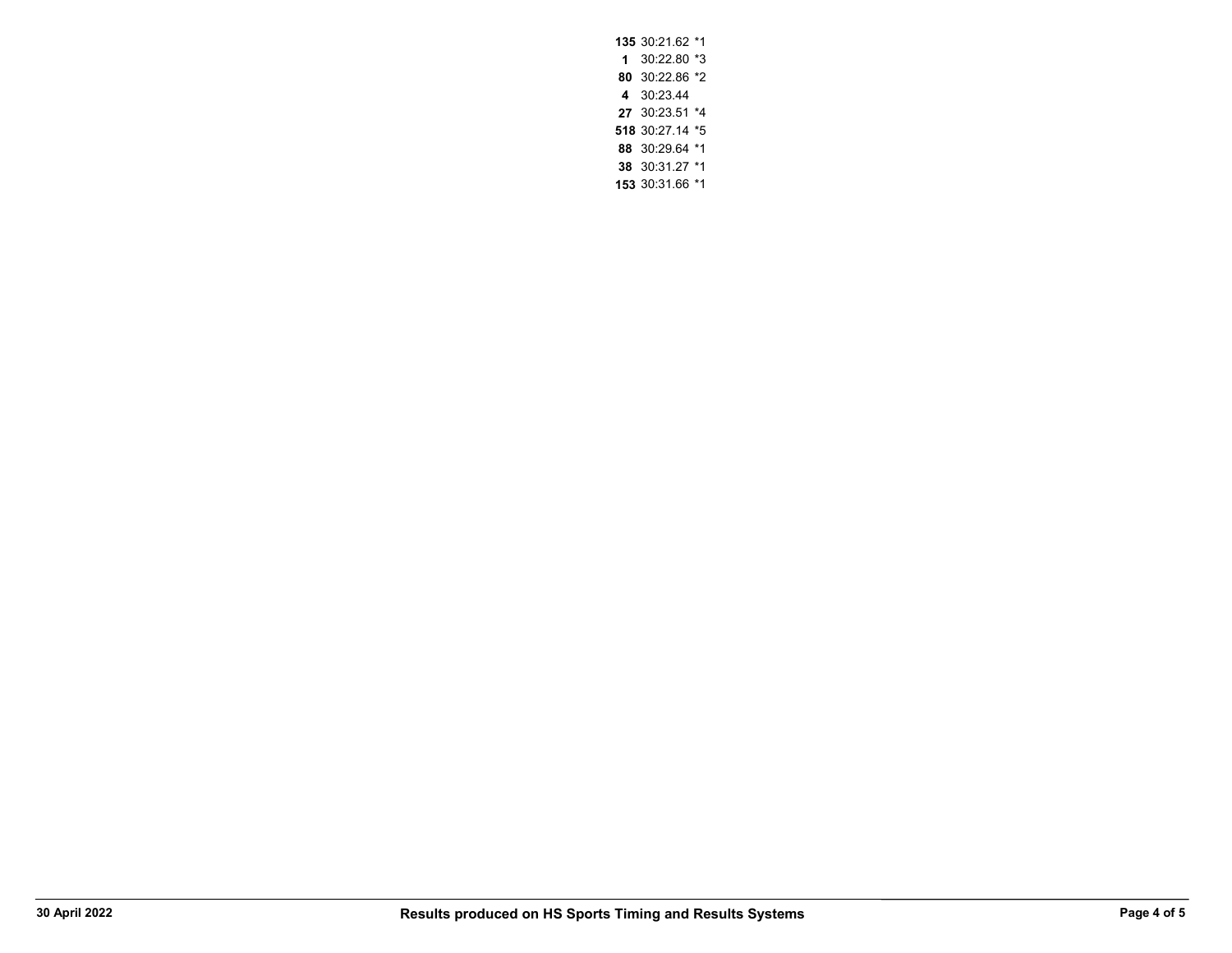30:21.62 \*1 30:22.80 \*3 30:22.86 \*2 **4** 30:23.44 30:23.51 \*4 30:27.14 \*5 30:29.64 \*1 30:31.27 \*1 30:31.66 \*1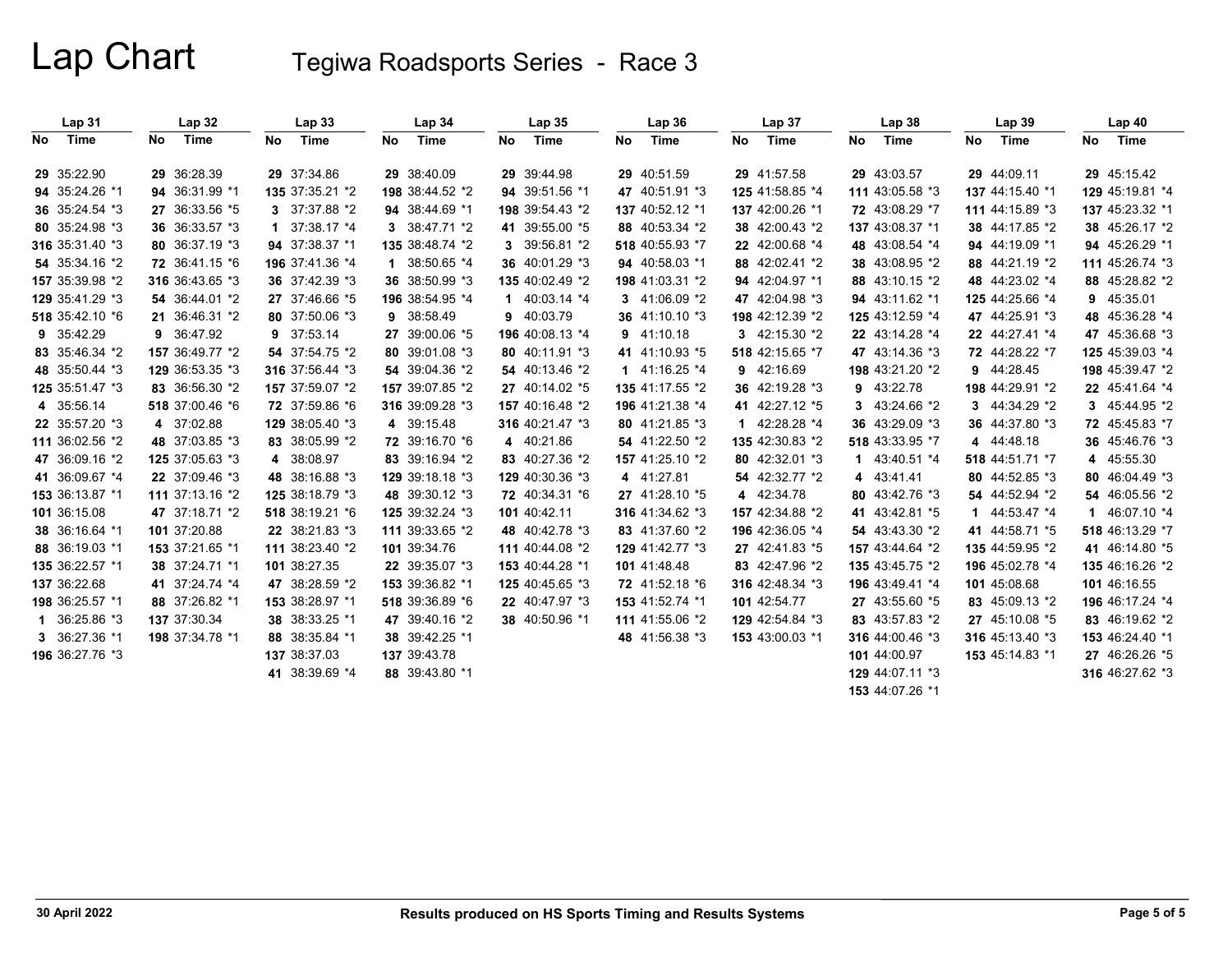|     | Lap <sub>31</sub> |    | Lap <sub>32</sub> |             | Lap <sub>33</sub> |    | Lap 34          |    | Lap <sub>35</sub> |    | Lap36           |    | Lap 37          |    | Lap 38          |     | Lap39           | Lap40           |
|-----|-------------------|----|-------------------|-------------|-------------------|----|-----------------|----|-------------------|----|-----------------|----|-----------------|----|-----------------|-----|-----------------|-----------------|
| No. | Time              | No | Time              | No          | Time              | No | Time            | No | Time              | No | Time            | No | Time            | No | Time            | No. | Time            | No Time         |
|     | 29 35:22.90       |    | 29 36:28.39       |             | 29 37:34.86       |    | 29 38:40.09     |    | 29 39:44.98       |    | 29 40:51.59     |    | 29 41:57.58     |    | 29 43:03.57     |     | 29 44:09.11     | 29 45:15.42     |
|     | 94 35:24.26 *1    |    | 94 36:31.99 *1    |             | 135 37:35.21 *2   |    | 198 38:44.52 *2 |    | 94 39:51.56 *1    |    | 47 40:51.91 *3  |    | 125 41:58.85 *4 |    | 111 43:05.58 *3 |     | 137 44:15.40 *1 | 129 45:19.81 *4 |
|     | 36 35:24.54 *3    |    | 27 36:33.56 *5    |             | 3 37:37.88 *2     |    | 94 38:44.69 *1  |    | 198 39:54.43 *2   |    | 137 40:52.12 *1 |    | 137 42:00.26 *1 |    | 72 43:08.29 *7  |     | 111 44:15.89 *3 | 137 45:23.32 *1 |
|     | 80 35:24.98 *3    |    | 36 36:33.57 *3    | $\mathbf 1$ | 37:38.17 *4       |    | 3 38:47.71 *2   |    | 41 39:55.00 *5    |    | 88 40:53.34 *2  |    | 38 42:00.43 *2  |    | 137 43:08.37 *1 |     | 38 44:17.85 *2  | 38 45:26.17 *2  |
|     | 316 35:31.40 *3   |    | 80 36:37.19 *3    |             | 94 37:38.37 *1    |    | 135 38:48.74 *2 |    | 3 39:56.81 *2     |    | 518 40:55.93 *7 |    | 22 42:00.68 *4  |    | 48 43:08.54 *4  |     | 94 44:19.09 *1  | 94 45:26.29 *1  |
|     | 54 35:34.16 *2    |    | 72 36:41.15 *6    |             | 196 37:41.36 *4   |    | 1 38:50.65 *4   |    | 36 40:01.29 *3    |    | 94 40:58.03 *1  |    | 88 42:02.41 *2  |    | 38 43:08.95 *2  |     | 88 44:21.19 *2  | 111 45:26.74 *3 |
|     | 157 35:39.98 *2   |    | 316 36:43.65 *3   |             | 36 37:42.39 *3    |    | 36 38:50.99 *3  |    | 135 40:02.49 *2   |    | 198 41:03.31 *2 |    | 94 42:04.97 *1  |    | 88 43:10.15 *2  |     | 48 44:23.02 *4  | 88 45:28.82 *2  |
|     | 129 35:41.29 *3   |    | 54 36:44.01 *2    |             | 27 37:46.66 *5    |    | 196 38:54.95 *4 |    | 1 40:03.14 $*4$   |    | 3 41:06.09 *2   |    | 47 42:04.98 *3  |    | 94 43:11.62 *1  |     | 125 44:25.66 *4 | 9 45:35.01      |
|     | 518 35:42.10 *6   |    | 21 36:46.31 *2    |             | 80 37:50.06 *3    |    | 9 38:58.49      |    | 9 40:03.79        |    | 36 41:10.10 *3  |    | 198 42:12.39 *2 |    | 125 43:12.59 *4 |     | 47 44:25.91 *3  | 48 45:36.28 *4  |
|     | 9 35:42.29        |    | 9 36:47.92        |             | 9 37:53.14        |    | 27 39:00.06 *5  |    | 196 40:08.13 *4   |    | 9 41:10.18      |    | 3 42:15.30 *2   |    | 22 43:14.28 *4  |     | 22 44:27.41 *4  | 47 45:36.68 *3  |
|     | 83 35:46.34 *2    |    | 157 36:49.77 *2   |             | 54 37:54.75 *2    |    | 80 39:01.08 *3  |    | 80 40:11.91 *3    |    | 41 41:10.93 *5  |    | 518 42:15.65 *7 |    | 47 43:14:36 *3  |     | 72 44:28.22 *7  | 125 45:39.03 *4 |
|     | 48 35:50.44 *3    |    | 129 36:53.35 *3   |             | 316 37:56.44 *3   |    | 54 39:04:36 *2  |    | 54 40:13.46 *2    |    | $141:16.25*4$   |    | 9 42:16.69      |    | 198 43:21.20 *2 | 9   | 44:28.45        | 198 45:39.47 *2 |
|     | 125 35:51.47 *3   |    | 83 36:56.30 *2    |             | 157 37:59.07 *2   |    | 157 39:07.85 *2 |    | 27 40:14:02 *5    |    | 135 41:17.55 *2 |    | 36 42:19.28 *3  |    | 9 43:22.78      |     | 198 44:29.91 *2 | 22 45 41 64 *4  |
|     | 4 35:56.14        |    | 518 37:00.46 *6   |             | 72 37:59.86 *6    |    | 316 39:09.28 *3 |    | 157 40:16.48 *2   |    | 196 41:21.38 *4 |    | 41 42:27.12 *5  |    | 3 43:24.66 *2   |     | 3 44:34.29 *2   | 3 45:44.95 *2   |
|     | 22 35:57.20 *3    |    | 4 37:02.88        |             | 129 38:05.40 *3   |    | 4 39:15.48      |    | 316 40:21.47 *3   |    | 80 41:21.85 *3  |    | 1 42:28.28 *4   |    | 36 43:29.09 *3  |     | 36 44:37.80 *3  | 72 45:45.83 *7  |
|     | 111 36:02.56 *2   |    | 48 37:03.85 *3    |             | 83 38:05.99 *2    |    | 72 39:16.70 *6  |    | 4 40:21.86        |    | 54 41:22.50 *2  |    | 135 42:30.83 *2 |    | 518 43:33.95 *7 |     | 4 44:48.18      | 36 45:46.76 *3  |
|     | 47 36:09.16 *2    |    | 125 37:05.63 *3   |             | 4 38:08.97        |    | 83 39:16.94 *2  |    | 83 40:27.36 *2    |    | 157 41:25.10 *2 |    | 80 42:32.01 *3  |    | 1 43:40.51 *4   |     | 518 44:51.71 *7 | 4 45:55.30      |
|     | 41 36:09.67 *4    |    | 22 37:09.46 *3    |             | 48 38:16.88 *3    |    | 129 39:18.18 *3 |    | 129 40:30.36 *3   |    | 4 41:27.81      |    | 54 42:32.77 *2  |    | 4 43:41.41      |     | 80 44:52.85 *3  | 80 46:04:49 *3  |
|     | 153 36:13.87 *1   |    | 111 37:13.16 *2   |             | 125 38:18.79 *3   |    | 48 39:30.12 *3  |    | 72 40:34.31 *6    |    | 27 41:28.10 *5  |    | 4 42:34.78      |    | 80 43:42.76 *3  |     | 54 44:52.94 *2  | 54 46:05.56 *2  |
|     | 101 36:15.08      |    | 47 37:18.71 *2    |             | 518 38:19.21 *6   |    | 125 39:32.24 *3 |    | 101 40:42.11      |    | 316 41:34.62 *3 |    | 157 42:34.88 *2 |    | 41 43:42.81 *5  | 1   | 44:53.47 *4     | 1 46:07.10 *4   |
|     | 38 36:16.64 *1    |    | 101 37:20.88      |             | 22 38:21.83 *3    |    | 111 39:33.65 *2 |    | 48 40:42.78 *3    |    | 83 41:37.60 *2  |    | 196 42:36.05 *4 |    | 54 43:43.30 *2  |     | 41 44:58.71 *5  | 518 46:13.29 *7 |
|     | 88 36:19.03 *1    |    | 153 37:21.65 *1   |             | 111 38:23.40 *2   |    | 101 39:34.76    |    | 111 40:44.08 *2   |    | 129 41:42.77 *3 |    | 27 42:41.83 *5  |    | 157 43:44.64 *2 |     | 135 44:59.95 *2 | 41 46:14.80 *5  |
|     | 135 36:22.57 *1   |    | 38 37:24.71 *1    |             | 101 38:27.35      |    | 22 39:35.07 *3  |    | 153 40:44.28 *1   |    | 101 41:48.48    |    | 83 42:47.96 *2  |    | 135 43:45.75 *2 |     | 196 45:02.78 *4 | 135 46:16.26 *2 |
|     | 137 36:22.68      |    | 41 37:24.74 *4    |             | 47 38:28.59 *2    |    | 153 39:36.82 *1 |    | 125 40:45.65 *3   |    | 72 41:52.18 *6  |    | 316 42:48.34 *3 |    | 196 43:49.41 *4 |     | 101 45:08.68    | 101 46:16.55    |
|     | 198 36:25.57 *1   |    | 88 37:26.82 *1    |             | 153 38:28.97 *1   |    | 518 39:36.89 *6 |    | 22 40:47.97 *3    |    | 153 41:52.74 *1 |    | 101 42:54.77    |    | 27 43:55.60 *5  |     | 83 45:09.13 *2  | 196 46:17.24 *4 |
|     | 1 36:25.86 *3     |    | 137 37:30.34      |             | 38 38:33.25 *1    |    | 47 39:40.16 *2  |    | 38 40:50.96 *1    |    | 111 41:55.06 *2 |    | 129 42:54.84 *3 |    | 83 43:57.83 *2  |     | 27 45:10.08 *5  | 83 46:19.62 *2  |
|     | 3 36:27.36 *1     |    | 198 37:34.78 *1   |             | 88 38:35.84 *1    |    | 38 39:42.25 *1  |    |                   |    | 48 41:56.38 *3  |    | 153 43:00.03 *1 |    | 316 44:00.46 *3 |     | 316 45 13 40 *3 | 153 46:24.40 *1 |
|     | 196 36:27.76 *3   |    |                   |             | 137 38:37.03      |    | 137 39:43.78    |    |                   |    |                 |    |                 |    | 101 44:00.97    |     | 153 45:14.83 *1 | 27 46:26.26 *5  |
|     |                   |    |                   |             | 41 38:39.69 *4    |    | 88 39:43.80 *1  |    |                   |    |                 |    |                 |    | 129 44:07.11 *3 |     |                 | 316 46:27.62 *3 |
|     |                   |    |                   |             |                   |    |                 |    |                   |    |                 |    |                 |    | 153 44:07.26 *1 |     |                 |                 |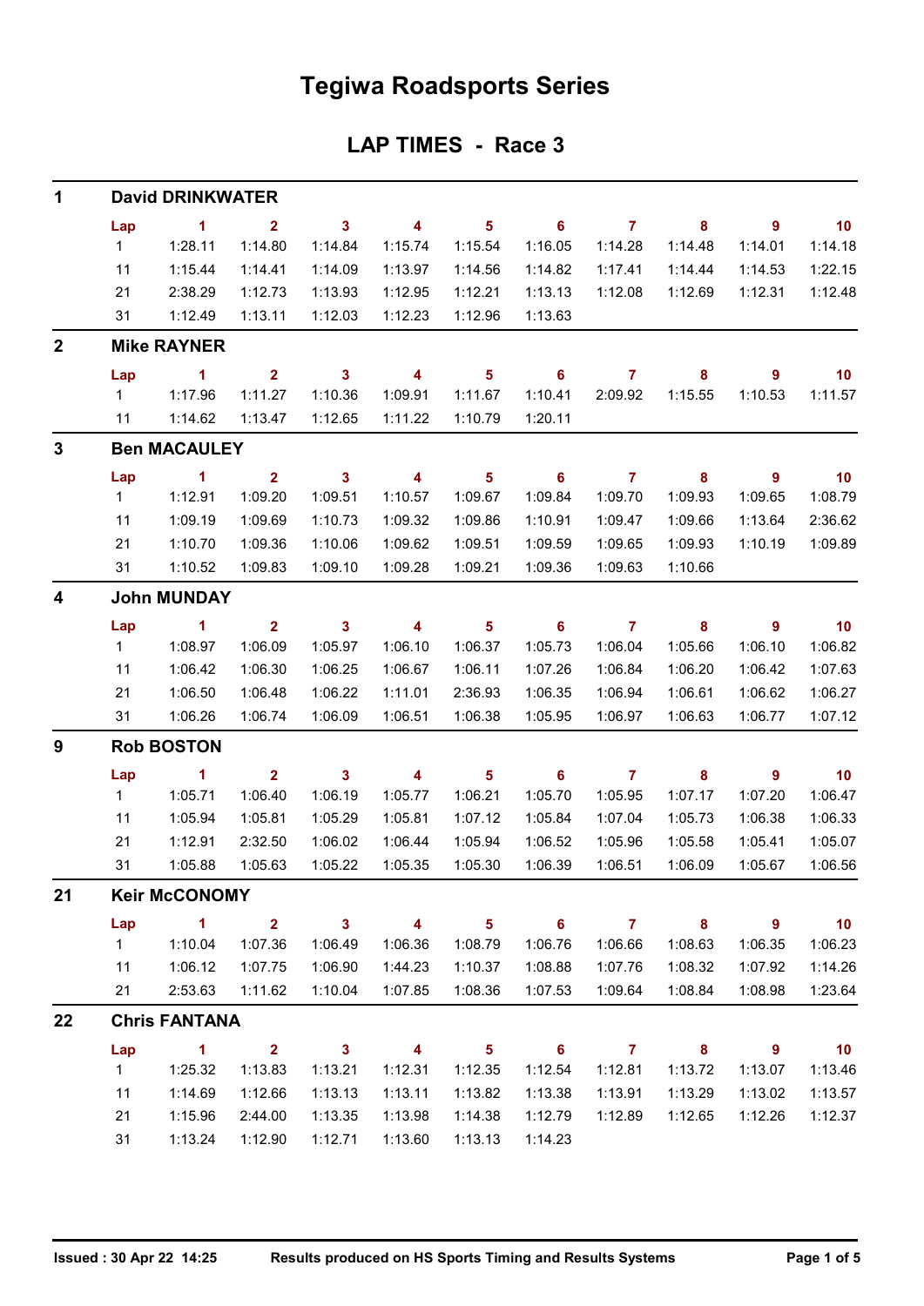## **Tegiwa Roadsports Series**

### **LAP TIMES - Race 3**

| 1            | <b>David DRINKWATER</b> |                      |                         |                         |                |                            |                            |                |                         |                          |         |  |  |  |
|--------------|-------------------------|----------------------|-------------------------|-------------------------|----------------|----------------------------|----------------------------|----------------|-------------------------|--------------------------|---------|--|--|--|
|              | Lap                     | $\blacktriangleleft$ | $\overline{2}$          | $\mathbf{3}$            | 4              | $\overline{\mathbf{5}}$    | 6                          | $\overline{7}$ | 8                       | 9                        | 10      |  |  |  |
|              | $\mathbf{1}$            | 1:28.11              | 1:14.80                 | 1:14.84                 | 1:15.74        | 1:15.54                    | 1:16.05                    | 1:14.28        | 1:14.48                 | 1:14.01                  | 1:14.18 |  |  |  |
|              | 11                      | 1:15.44              | 1:14.41                 | 1:14.09                 | 1:13.97        | 1:14.56                    | 1:14.82                    | 1:17.41        | 1:14.44                 | 1:14.53                  | 1:22.15 |  |  |  |
|              | 21                      | 2:38.29              | 1:12.73                 | 1:13.93                 | 1:12.95        | 1:12.21                    | 1:13.13                    | 1:12.08        | 1:12.69                 | 1:12.31                  | 1:12.48 |  |  |  |
|              | 31                      | 1:12.49              | 1:13.11                 | 1:12.03                 | 1:12.23        | 1:12.96                    | 1:13.63                    |                |                         |                          |         |  |  |  |
| $\mathbf{2}$ |                         | <b>Mike RAYNER</b>   |                         |                         |                |                            |                            |                |                         |                          |         |  |  |  |
|              | Lap                     | $\blacktriangleleft$ | $\overline{2}$          | $\mathbf{3}$            | 4              | 5                          | 6                          | 7              | 8                       | 9                        | 10      |  |  |  |
|              | $\mathbf{1}$            | 1:17.96              | 1:11.27                 | 1:10.36                 | 1:09.91        | 1:11.67                    | 1:10.41                    | 2:09.92        | 1:15.55                 | 1:10.53                  | 1:11.57 |  |  |  |
|              | 11                      | 1:14.62              | 1:13.47                 | 1:12.65                 | 1:11.22        | 1:10.79                    | 1:20.11                    |                |                         |                          |         |  |  |  |
| $\mathbf{3}$ |                         | <b>Ben MACAULEY</b>  |                         |                         |                |                            |                            |                |                         |                          |         |  |  |  |
|              | Lap                     | $\blacktriangleleft$ | $\overline{2}$          | $\mathbf{3}$            | 4              | $\overline{\mathbf{5}}$    | 6                          | $\overline{7}$ | 8                       | 9                        | 10      |  |  |  |
|              | 1                       | 1:12.91              | 1:09.20                 | 1:09.51                 | 1:10.57        | 1:09.67                    | 1:09.84                    | 1:09.70        | 1:09.93                 | 1:09.65                  | 1:08.79 |  |  |  |
|              | 11                      | 1:09.19              | 1:09.69                 | 1:10.73                 | 1:09.32        | 1:09.86                    | 1:10.91                    | 1:09.47        | 1:09.66                 | 1:13.64                  | 2:36.62 |  |  |  |
|              | 21                      | 1:10.70              | 1:09.36                 | 1:10.06                 | 1:09.62        | 1:09.51                    | 1:09.59                    | 1:09.65        | 1:09.93                 | 1:10.19                  | 1:09.89 |  |  |  |
|              | 31                      | 1:10.52              | 1:09.83                 | 1:09.10                 | 1:09.28        | 1:09.21                    | 1:09.36                    | 1:09.63        | 1:10.66                 |                          |         |  |  |  |
| 4            | <b>John MUNDAY</b>      |                      |                         |                         |                |                            |                            |                |                         |                          |         |  |  |  |
|              | Lap                     | $\mathbf{1}$         | $\overline{2}$          | $\mathbf{3}$            | 4              | $\overline{\mathbf{5}}$    | 6                          | $\overline{7}$ | 8                       | 9                        | 10      |  |  |  |
|              | 1                       | 1:08.97              | 1:06.09                 | 1:05.97                 | 1:06.10        | 1:06.37                    | 1:05.73                    | 1:06.04        | 1:05.66                 | 1:06.10                  | 1:06.82 |  |  |  |
|              | 11                      | 1:06.42              | 1:06.30                 | 1:06.25                 | 1:06.67        | 1:06.11                    | 1:07.26                    | 1:06.84        | 1:06.20                 | 1:06.42                  | 1:07.63 |  |  |  |
|              | 21                      | 1:06.50              | 1:06.48                 | 1:06.22                 | 1:11.01        | 2:36.93                    | 1:06.35                    | 1:06.94        | 1:06.61                 | 1:06.62                  | 1:06.27 |  |  |  |
|              | 31                      | 1:06.26              | 1:06.74                 | 1:06.09                 | 1:06.51        | 1:06.38                    | 1:05.95                    | 1:06.97        | 1:06.63                 | 1:06.77                  | 1:07.12 |  |  |  |
| 9            | <b>Rob BOSTON</b>       |                      |                         |                         |                |                            |                            |                |                         |                          |         |  |  |  |
|              | Lap                     | 1                    | $\overline{2}$          | $\mathbf{3}$            | 4              | $\overline{\mathbf{5}}$    | 6                          | $\overline{7}$ | 8                       | 9                        | 10      |  |  |  |
|              | 1                       | 1:05.71              | 1:06.40                 | 1:06.19                 | 1:05.77        | 1:06.21                    | 1:05.70                    | 1:05.95        | 1:07.17                 | 1:07.20                  | 1:06.47 |  |  |  |
|              | 11                      | 1:05.94              | 1:05.81                 | 1:05.29                 | 1:05.81        | 1:07.12                    | 1:05.84                    | 1:07.04        | 1:05.73                 | 1:06.38                  | 1:06.33 |  |  |  |
|              | 21                      | 1:12.91              | 2:32.50                 | 1:06.02                 | 1:06.44        | 1:05.94                    | 1:06.52                    | 1:05.96        | 1:05.58                 | 1:05.41                  | 1:05.07 |  |  |  |
|              | 31                      | 1:05.88              | 1:05.63                 | 1:05.22                 | 1:05.35        | 1:05.30                    | 1:06.39                    | 1:06.51        | 1:06.09                 | 1:05.67                  | 1:06.56 |  |  |  |
| 21           |                         | <b>Keir McCONOMY</b> |                         |                         |                |                            |                            |                |                         |                          |         |  |  |  |
|              | Lap                     | $\sim$ 1             | $2^{\circ}$             | $\overline{\mathbf{3}}$ | $\overline{4}$ | $\overline{\phantom{0}}$ 5 |                            | 6 7 8          |                         | $\overline{\phantom{a}}$ | 10      |  |  |  |
|              | $1 \quad$               | 1:10.04              | 1:07.36                 | 1:06.49                 | 1:06.36        | 1:08.79                    | 1:06.76                    | 1:06.66        | 1:08.63                 | 1:06.35                  | 1:06.23 |  |  |  |
|              | 11                      | 1:06.12              | 1:07.75                 | 1:06.90                 | 1:44.23        | 1:10.37                    | 1:08.88                    | 1:07.76        | 1:08.32                 | 1:07.92                  | 1:14.26 |  |  |  |
|              | 21                      | 2:53.63              | 1:11.62                 | 1:10.04                 | 1:07.85        | 1:08.36                    | 1:07.53                    | 1:09.64        | 1:08.84                 | 1:08.98                  | 1:23.64 |  |  |  |
| 22           |                         | <b>Chris FANTANA</b> |                         |                         |                |                            |                            |                |                         |                          |         |  |  |  |
|              | Lap                     | $\sim$ 1             | $\overline{\mathbf{2}}$ | $\overline{\mathbf{3}}$ | $\overline{4}$ | $\overline{\phantom{0}}$ 5 | $\overline{\phantom{a}}$ 6 | $\overline{7}$ | $\overline{\mathbf{8}}$ | $\overline{\phantom{a}}$ | 10      |  |  |  |
|              | $1 \quad$               | 1:25.32              | 1:13.83                 | 1:13.21                 | 1:12.31        | 1:12.35                    | 1:12.54                    | 1:12.81        | 1:13.72                 | 1:13.07                  | 1:13.46 |  |  |  |
|              | 11                      | 1:14.69              | 1:12.66                 | 1:13.13                 | 1:13.11        | 1:13.82                    | 1:13.38                    | 1:13.91        | 1:13.29                 | 1:13.02                  | 1:13.57 |  |  |  |
|              | 21                      | 1:15.96              | 2:44.00                 | 1:13.35                 | 1:13.98        | 1:14.38                    | 1:12.79                    | 1:12.89        | 1:12.65                 | 1:12.26                  | 1:12.37 |  |  |  |
|              | 31                      | 1:13.24              | 1:12.90                 | 1:12.71                 | 1:13.60        | 1:13.13                    | 1:14.23                    |                |                         |                          |         |  |  |  |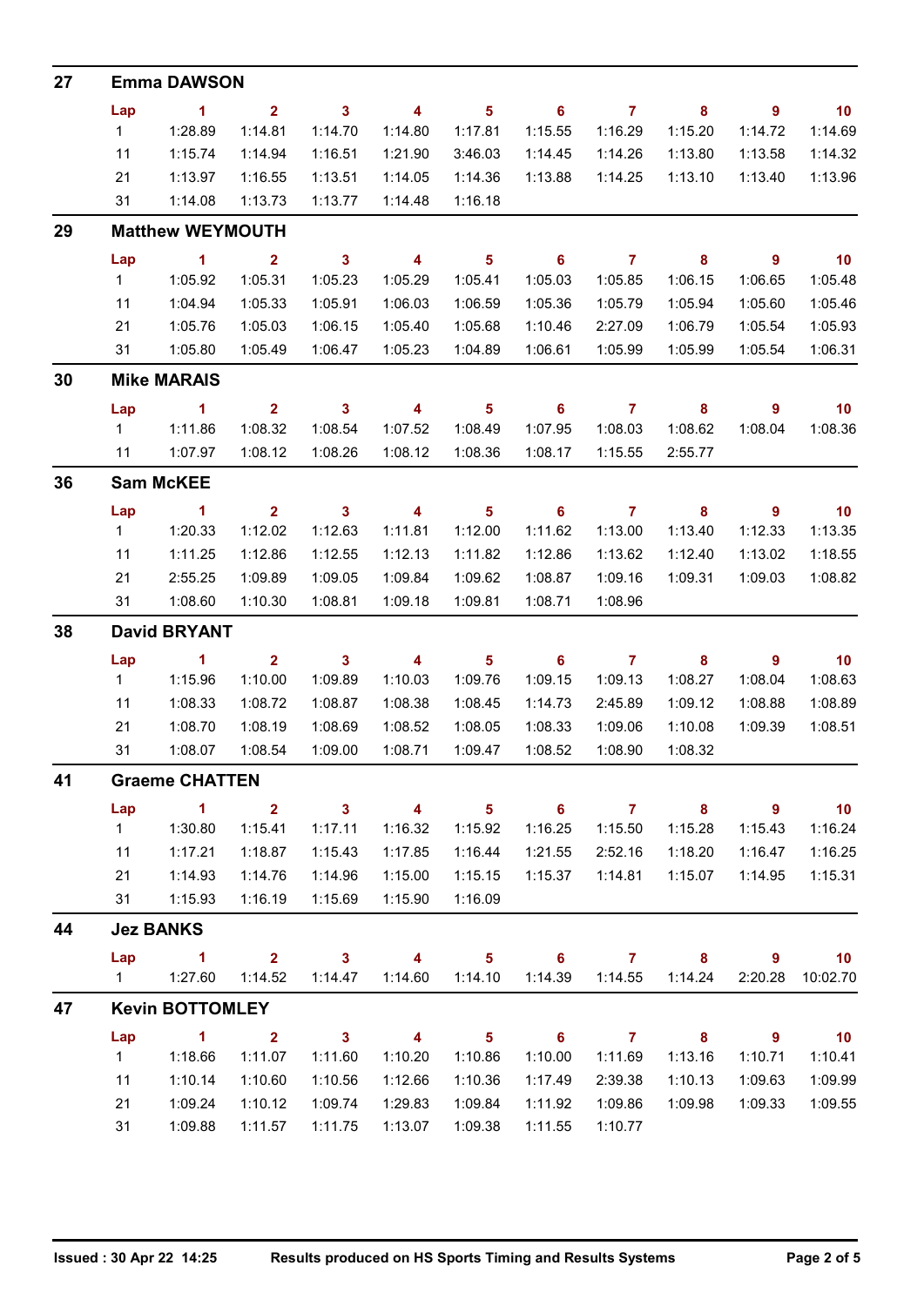| 27 | <b>Emma DAWSON</b>  |                                 |                           |                            |                           |                            |                                       |                         |                            |                            |                 |  |  |  |
|----|---------------------|---------------------------------|---------------------------|----------------------------|---------------------------|----------------------------|---------------------------------------|-------------------------|----------------------------|----------------------------|-----------------|--|--|--|
|    | Lap                 | $\blacksquare$ 1                | 2 <sup>1</sup>            | $\mathbf{3}$               | $\overline{4}$            | $5\phantom{.0}$            | $6\phantom{1}6$                       | $\mathbf{7}$            | 8                          | $\overline{9}$             | $\overline{10}$ |  |  |  |
|    | 1                   | 1:28.89                         | 1:14.81                   | 1:14.70                    | 1:14.80                   | 1:17.81                    | 1:15.55                               | 1:16.29                 | 1:15.20                    | 1:14.72                    | 1:14.69         |  |  |  |
|    | 11                  | 1:15.74                         | 1:14.94                   | 1:16.51                    | 1:21.90                   | 3:46.03                    | 1:14.45                               | 1:14.26                 | 1:13.80                    | 1:13.58                    | 1:14.32         |  |  |  |
|    | 21                  | 1:13.97                         | 1:16.55                   | 1:13.51                    | 1:14.05                   | 1:14.36                    | 1:13.88                               | 1:14.25                 | 1:13.10                    | 1:13.40                    | 1:13.96         |  |  |  |
|    | 31                  | 1:14.08                         | 1:13.73                   | 1:13.77                    | 1:14.48                   | 1:16.18                    |                                       |                         |                            |                            |                 |  |  |  |
| 29 |                     | <b>Matthew WEYMOUTH</b>         |                           |                            |                           |                            |                                       |                         |                            |                            |                 |  |  |  |
|    | Lap                 | $\sim$ 1                        | $\overline{2}$            | $\mathbf{3}$               | $\overline{\mathbf{4}}$   | $\overline{\phantom{0}}$ 5 | $\overline{\phantom{0}}$ 6            | $\overline{7}$          | $\overline{\phantom{a}}$ 8 | $\overline{\phantom{a}}$ 9 | $\overline{10}$ |  |  |  |
|    | 1                   | 1:05.92                         | 1:05.31                   | 1:05.23                    | 1:05.29                   | 1:05.41                    | 1:05.03                               | 1:05.85                 | 1:06.15                    | 1:06.65                    | 1:05.48         |  |  |  |
|    | 11                  | 1:04.94                         | 1:05.33                   | 1:05.91                    | 1:06.03                   | 1:06.59                    | 1:05.36                               | 1:05.79                 | 1:05.94                    | 1:05.60                    | 1:05.46         |  |  |  |
|    | 21                  | 1:05.76                         | 1:05.03                   | 1:06.15                    | 1:05.40                   | 1:05.68                    | 1:10.46                               | 2:27.09                 | 1:06.79                    | 1:05.54                    | 1:05.93         |  |  |  |
|    | 31                  | 1:05.80                         | 1:05.49                   | 1:06.47                    | 1:05.23                   | 1:04.89                    | 1:06.61                               | 1:05.99                 | 1:05.99                    | 1:05.54                    | 1:06.31         |  |  |  |
| 30 |                     | <b>Mike MARAIS</b>              |                           |                            |                           |                            |                                       |                         |                            |                            |                 |  |  |  |
|    | Lap                 | $\blacksquare$ 1                | $\mathbf{2}$              | $\overline{\phantom{a}}$ 3 | $\overline{4}$            | $\overline{\phantom{0}}$ 5 | $\overline{\phantom{0}}$ 6            | $\overline{7}$          | 8                          | $\overline{\phantom{a}}$ 9 | 10              |  |  |  |
|    | 1                   | 1:11.86                         | 1:08.32                   | 1:08.54                    | 1:07.52                   | 1:08.49                    | 1:07.95                               | 1:08.03                 | 1:08.62                    | 1:08.04                    | 1:08.36         |  |  |  |
|    | 11                  | 1:07.97                         | 1:08.12                   | 1:08.26                    | 1:08.12                   | 1:08.36                    | 1:08.17                               | 1:15.55                 | 2:55.77                    |                            |                 |  |  |  |
| 36 |                     | <b>Sam McKEE</b>                |                           |                            |                           |                            |                                       |                         |                            |                            |                 |  |  |  |
|    | Lap                 | $\blacktriangleleft$            | 2 <sub>1</sub>            | $\mathbf{3}$               | $\overline{4}$            | $\sqrt{5}$                 | $6\phantom{1}6$                       | $\overline{7}$          | $\bf{8}$                   | $\overline{9}$             | 10              |  |  |  |
|    | $1 \quad$           | 1:20.33                         | 1:12.02                   | 1:12.63                    | 1:11.81                   | 1:12.00                    | 1:11.62                               | 1:13.00                 | 1:13.40                    | 1:12.33                    | 1:13.35         |  |  |  |
|    | 11                  | 1:11.25                         | 1:12.86                   | 1:12.55                    | 1:12.13                   | 1:11.82                    | 1:12.86                               | 1:13.62                 | 1:12.40                    | 1:13.02                    | 1:18.55         |  |  |  |
|    | 21                  | 2:55.25                         | 1:09.89                   | 1:09.05                    | 1:09.84                   | 1:09.62                    | 1:08.87                               | 1:09.16                 | 1:09.31                    | 1:09.03                    | 1:08.82         |  |  |  |
|    | 31                  | 1:08.60                         | 1:10.30                   | 1:08.81                    | 1:09.18                   | 1:09.81                    | 1:08.71                               | 1:08.96                 |                            |                            |                 |  |  |  |
| 38 | <b>David BRYANT</b> |                                 |                           |                            |                           |                            |                                       |                         |                            |                            |                 |  |  |  |
|    | Lap                 | $\sim$ 1                        | $\mathbf{2}$              | $\mathbf{3}$               | $\overline{4}$            | $\overline{\mathbf{5}}$    | $6\phantom{1}6$                       | $\overline{7}$          | 8                          | $\overline{9}$             | 10              |  |  |  |
|    | $1 \quad$           | 1:15.96                         | 1:10.00                   | 1:09.89                    | 1:10.03                   | 1:09.76                    | 1:09.15                               | 1:09.13                 | 1:08.27                    | 1:08.04                    | 1:08.63         |  |  |  |
|    | 11                  | 1:08.33                         | 1:08.72                   | 1:08.87                    | 1:08.38                   | 1:08.45                    | 1:14.73                               | 2:45.89                 | 1:09.12                    | 1:08.88                    | 1:08.89         |  |  |  |
|    | 21                  | 1:08.70                         | 1:08.19                   | 1:08.69                    | 1:08.52                   | 1:08.05                    | 1:08.33                               | 1:09.06                 | 1:10.08                    | 1:09.39                    | 1:08.51         |  |  |  |
|    | 31                  | 1:08.07                         | 1:08.54                   | 1:09.00                    | 1:08.71                   | 1:09.47                    | 1:08.52                               | 1:08.90                 | 1:08.32                    |                            |                 |  |  |  |
| 41 |                     | <b>Graeme CHATTEN</b>           |                           |                            |                           |                            |                                       |                         |                            |                            |                 |  |  |  |
|    | Lap<br>1            | $\blacktriangleleft$<br>1:30.80 | 2 <sup>1</sup><br>1:15.41 | 3 <sup>1</sup><br>1:17.11  | $\overline{4}$<br>1:16.32 | $-5$<br>1:15.92            | $\overline{\phantom{0}}$ 6<br>1:16.25 | $\mathbf{7}$<br>1:15.50 | $\bf{8}$<br>1:15.28        | 9<br>1:15.43               | 10<br>1:16.24   |  |  |  |
|    | 11                  | 1:17.21                         | 1:18.87                   | 1:15.43                    | 1:17.85                   | 1:16.44                    | 1:21.55                               | 2:52.16                 | 1:18.20                    | 1:16.47                    | 1:16.25         |  |  |  |
|    | 21                  | 1:14.93                         | 1:14.76                   | 1:14.96                    | 1:15.00                   | 1:15.15                    | 1:15.37                               | 1:14.81                 | 1:15.07                    | 1:14.95                    | 1:15.31         |  |  |  |
|    | 31                  | 1:15.93                         | 1:16.19                   | 1:15.69                    | 1:15.90                   | 1:16.09                    |                                       |                         |                            |                            |                 |  |  |  |
| 44 |                     | <b>Jez BANKS</b>                |                           |                            |                           |                            |                                       |                         |                            |                            |                 |  |  |  |
|    | Lap                 | $\blacktriangleleft$            | 2 <sub>1</sub>            | 3 <sup>1</sup>             | 4                         | $5^{\circ}$                | $6\overline{6}$                       | $\mathbf{7}$            | 8                          | 9                          | 10              |  |  |  |
|    | 1                   | 1:27.60                         | 1:14.52                   | 1:14.47                    | 1:14.60                   | 1:14.10                    | 1:14.39                               | 1:14.55                 | 1:14.24                    | 2:20.28                    | 10:02.70        |  |  |  |
| 47 |                     | <b>Kevin BOTTOMLEY</b>          |                           |                            |                           |                            |                                       |                         |                            |                            |                 |  |  |  |
|    | Lap                 | $\blacktriangleleft$            | $\overline{2}$            | $\mathbf{3}$               | $\overline{4}$            | $5\phantom{.0}$            | 6                                     | $\overline{7}$          | 8                          | 9                          | 10              |  |  |  |
|    | $\mathbf{1}$        | 1:18.66                         | 1:11.07                   | 1:11.60                    | 1:10.20                   | 1:10.86                    | 1:10.00                               | 1:11.69                 | 1:13.16                    | 1:10.71                    | 1:10.41         |  |  |  |
|    | 11                  | 1:10.14                         | 1:10.60                   | 1:10.56                    | 1:12.66                   | 1:10.36                    | 1:17.49                               | 2:39.38                 | 1:10.13                    | 1:09.63                    | 1:09.99         |  |  |  |
|    | 21                  | 1:09.24                         | 1:10.12                   | 1:09.74                    | 1:29.83                   | 1:09.84                    | 1:11.92                               | 1:09.86                 | 1:09.98                    | 1:09.33                    | 1:09.55         |  |  |  |
|    | 31                  | 1:09.88                         | 1:11.57                   | 1:11.75                    | 1:13.07                   | 1:09.38                    | 1:11.55                               | 1:10.77                 |                            |                            |                 |  |  |  |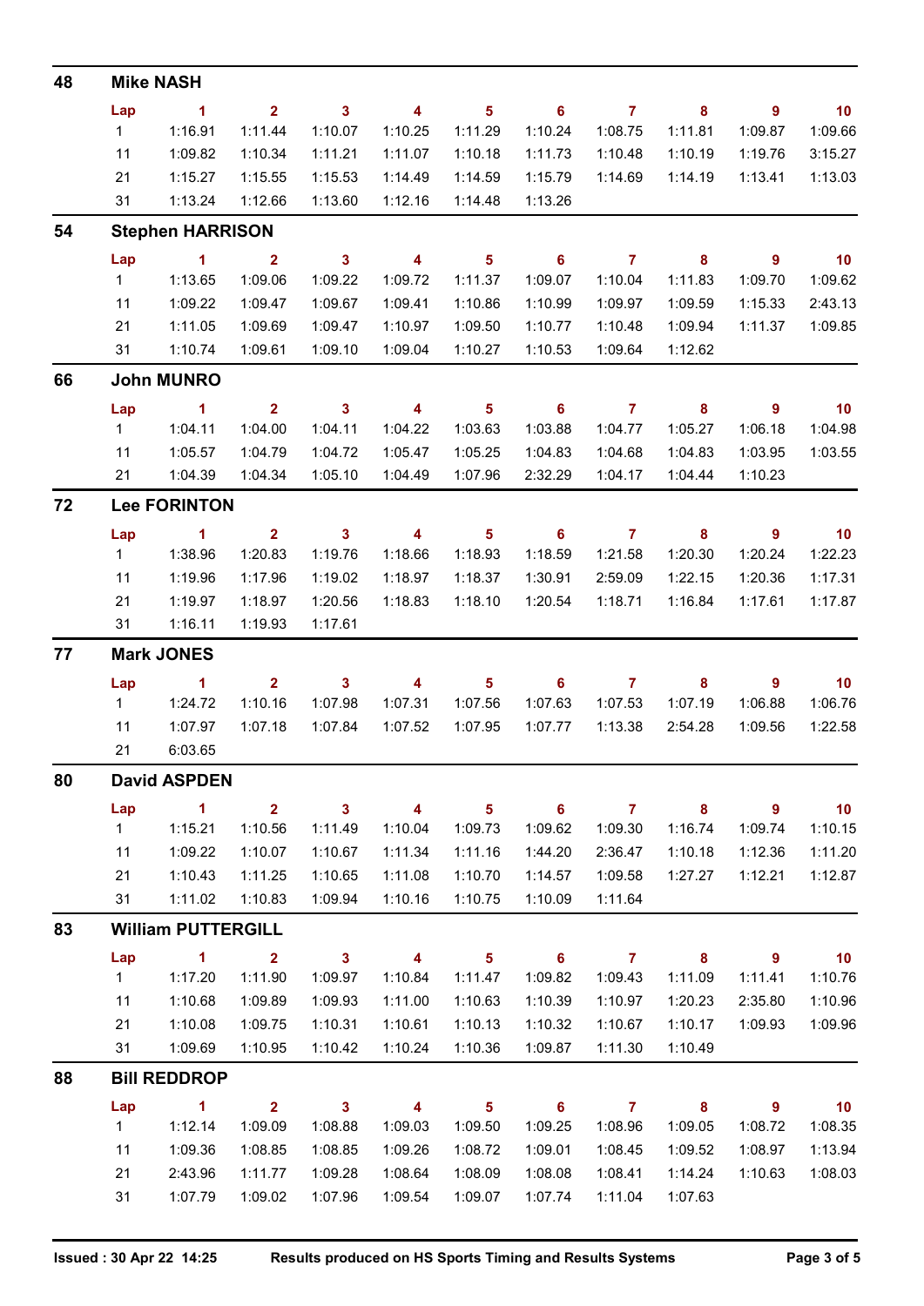| 48 | <b>Mike NASH</b> |                           |                         |                            |                         |                            |                            |                    |                            |                          |                          |  |  |  |
|----|------------------|---------------------------|-------------------------|----------------------------|-------------------------|----------------------------|----------------------------|--------------------|----------------------------|--------------------------|--------------------------|--|--|--|
|    | Lap              | $\blacksquare$ 1          | $2^{\circ}$             | $\overline{\phantom{a}}$ 3 | 4                       | 5 <sub>5</sub>             | $\overline{\phantom{0}}$ 6 | $\overline{7}$     | $\overline{\phantom{a}}$ 8 | $\overline{9}$           | $\overline{10}$          |  |  |  |
|    | 1                | 1:16.91                   | 1:11.44                 | 1:10.07                    | 1:10.25                 | 1:11.29                    | 1:10.24                    | 1:08.75            | 1:11.81                    | 1:09.87                  | 1:09.66                  |  |  |  |
|    | 11               | 1:09.82                   | 1:10.34                 | 1:11.21                    | 1:11.07                 | 1:10.18                    | 1:11.73                    | 1:10.48            | 1:10.19                    | 1:19.76                  | 3:15.27                  |  |  |  |
|    | 21               | 1:15.27                   | 1:15.55                 | 1:15.53                    | 1:14.49                 | 1:14.59                    | 1:15.79                    | 1:14.69            | 1:14.19                    | 1:13.41                  | 1:13.03                  |  |  |  |
|    | 31               | 1:13.24                   | 1:12.66                 | 1:13.60                    | 1:12.16                 | 1:14.48                    | 1:13.26                    |                    |                            |                          |                          |  |  |  |
| 54 |                  | <b>Stephen HARRISON</b>   |                         |                            |                         |                            |                            |                    |                            |                          |                          |  |  |  |
|    | Lap              | $\blacksquare$ 1          | $\sim$ 2                | $\overline{\phantom{a}}$ 3 | $\overline{\mathbf{4}}$ | $\overline{\phantom{0}}$ 5 | $\overline{\phantom{0}}$ 6 | $\overline{7}$     | $\overline{\mathbf{8}}$    | $\overline{\phantom{a}}$ | $\overline{10}$          |  |  |  |
|    | 1                | 1:13.65                   | 1:09.06                 | 1:09.22                    | 1:09.72                 | 1:11.37                    | 1:09.07                    | 1:10.04            | 1:11.83                    | 1:09.70                  | 1:09.62                  |  |  |  |
|    | 11               | 1:09.22                   | 1:09.47                 | 1:09.67                    | 1:09.41                 | 1:10.86                    | 1:10.99                    | 1:09.97            | 1:09.59                    | 1:15.33                  | 2:43.13                  |  |  |  |
|    | 21               | 1:11.05                   | 1:09.69                 | 1:09.47                    | 1:10.97                 | 1:09.50                    | 1:10.77                    | 1:10.48            | 1:09.94                    | 1:11.37                  | 1:09.85                  |  |  |  |
|    | 31               | 1:10.74                   | 1:09.61                 | 1:09.10                    | 1:09.04                 | 1:10.27                    | 1:10.53                    | 1:09.64            | 1:12.62                    |                          |                          |  |  |  |
| 66 |                  | <b>John MUNRO</b>         |                         |                            |                         |                            |                            |                    |                            |                          |                          |  |  |  |
|    | Lap              | $\sim$ 1                  | $2^{\circ}$             | $\overline{\mathbf{3}}$    | $\overline{\mathbf{4}}$ | $\overline{\phantom{0}}$ 5 | $\overline{\phantom{a}}$ 6 | $\overline{7}$     | $\overline{\mathbf{8}}$    | $\overline{\phantom{a}}$ | $\overline{10}$          |  |  |  |
|    | 1                | 1:04.11                   | 1:04.00                 | 1:04.11                    | 1:04.22                 | 1:03.63                    | 1:03.88                    | 1:04.77            | 1:05.27                    | 1:06.18                  | 1:04.98                  |  |  |  |
|    | 11               | 1:05.57                   | 1:04.79                 | 1:04.72                    | 1:05.47                 | 1:05.25                    | 1:04.83                    | 1:04.68            | 1:04.83                    | 1:03.95                  | 1:03.55                  |  |  |  |
|    | 21               | 1:04.39                   | 1:04.34                 | 1:05.10                    | 1:04.49                 | 1:07.96                    | 2:32.29                    | 1:04.17            | 1:04.44                    | 1:10.23                  |                          |  |  |  |
| 72 |                  | <b>Lee FORINTON</b>       |                         |                            |                         |                            |                            |                    |                            |                          |                          |  |  |  |
|    | Lap              | $\sim$ 1                  | $\overline{\mathbf{2}}$ | $\overline{\mathbf{3}}$    | $\overline{4}$          | $\overline{\phantom{0}}$ 5 | $\overline{\phantom{0}}$ 6 | $\overline{7}$     | $\overline{\phantom{a}}$ 8 | $\overline{\phantom{a}}$ | $\overline{\mathbf{10}}$ |  |  |  |
|    | $1 \quad$        | 1:38.96                   | 1:20.83                 | 1:19.76                    | 1:18.66                 | 1:18.93                    | 1:18.59                    | 1:21.58            | 1:20.30                    | 1:20.24                  | 1:22.23                  |  |  |  |
|    | 11               | 1:19.96                   | 1:17.96                 | 1:19.02                    | 1:18.97                 | 1:18.37                    | 1:30.91                    | 2:59.09            | 1:22.15                    | 1:20.36                  | 1:17.31                  |  |  |  |
|    | 21               | 1:19.97                   | 1:18.97                 | 1:20.56                    | 1:18.83                 | 1:18.10                    | 1:20.54                    | 1:18.71            | 1:16.84                    | 1:17.61                  | 1:17.87                  |  |  |  |
|    | 31               | 1:16.11                   | 1:19.93                 | 1:17.61                    |                         |                            |                            |                    |                            |                          |                          |  |  |  |
| 77 |                  | <b>Mark JONES</b>         |                         |                            |                         |                            |                            |                    |                            |                          |                          |  |  |  |
|    | Lap              | $\sim$ 1                  | $\overline{\mathbf{2}}$ | $\overline{\mathbf{3}}$    | $\overline{\mathbf{4}}$ | $\overline{\phantom{0}}$ 5 | $\overline{\phantom{0}}$ 6 | $\overline{7}$     | $\overline{\phantom{a}}$ 8 | 9                        | $\overline{10}$          |  |  |  |
|    | $1 \quad$        | 1:24.72                   | 1:10.16                 | 1:07.98                    | 1:07.31                 | 1:07.56                    | 1:07.63                    | 1:07.53            | 1:07.19                    | 1:06.88                  | 1:06.76                  |  |  |  |
|    | 11               | 1:07.97                   | 1:07.18                 | 1:07.84                    | 1:07.52                 | 1:07.95                    | 1:07.77                    | 1:13.38            | 2:54.28                    | 1:09.56                  | 1:22.58                  |  |  |  |
|    | 21               | 6:03.65                   |                         |                            |                         |                            |                            |                    |                            |                          |                          |  |  |  |
| 80 |                  | <b>David ASPDEN</b>       |                         |                            |                         |                            |                            |                    |                            |                          |                          |  |  |  |
|    | Lap              | $\blacksquare$            | 2 <sup>1</sup>          | $\overline{\mathbf{3}}$    | $\overline{\mathbf{4}}$ | $5^{\circ}$                | $\overline{\phantom{0}}$ 6 | $\overline{7}$     | 8                          | 9                        | 10                       |  |  |  |
|    | 1                | 1:15.21                   | 1:10.56                 | 1:11.49                    | 1:10.04                 | 1:09.73                    | 1:09.62                    | 1:09.30            | 1:16.74                    | 1:09.74                  | 1:10.15                  |  |  |  |
|    | 11               | 1:09.22                   | 1:10.07                 | 1:10.67                    | 1:11.34                 | 1:11.16                    | 1:44.20                    | 2:36.47            | 1:10.18                    | 1:12.36                  | 1:11.20                  |  |  |  |
|    | 21               | 1:10.43                   | 1:11.25                 | 1:10.65                    | 1:11.08                 | 1:10.70                    | 1:14.57                    | 1:09.58            | 1:27.27                    | 1:12.21                  | 1:12.87                  |  |  |  |
|    | 31               | 1:11.02                   | 1:10.83                 | 1:09.94                    | 1:10.16                 | 1:10.75                    | 1:10.09                    | 1:11.64            |                            |                          |                          |  |  |  |
| 83 |                  | <b>William PUTTERGILL</b> |                         |                            |                         |                            |                            |                    |                            |                          |                          |  |  |  |
|    | Lap              | $\sim$ 1                  | $\mathbf{2}$            | $\overline{\phantom{a}}$ 3 | $\overline{4}$          | $5^{\circ}$                | $\overline{\phantom{a}}$ 6 | $\overline{7}$     | $\overline{\phantom{a}}$ 8 | $\overline{9}$           | $\blacksquare$ 10        |  |  |  |
|    | 1                | 1:17.20                   | 1:11.90                 | 1:09.97                    | 1:10.84                 | 1:11.47                    | 1:09.82                    | 1:09.43            | 1:11.09                    | 1:11.41                  | 1:10.76                  |  |  |  |
|    | 11               | 1:10.68                   | 1:09.89                 | 1:09.93                    | 1:11.00                 | 1:10.63                    | 1:10.39                    | 1:10.97            | 1:20.23                    | 2:35.80                  | 1:10.96                  |  |  |  |
|    | 21               | 1:10.08                   | 1:09.75                 | 1:10.31                    | 1:10.61                 | 1:10.13                    | 1:10.32                    | 1:10.67            | 1:10.17                    | 1:09.93                  | 1:09.96                  |  |  |  |
|    | 31               | 1:09.69                   | 1:10.95                 | 1:10.42                    | 1:10.24                 | 1:10.36                    | 1:09.87                    | 1:11.30            | 1:10.49                    |                          |                          |  |  |  |
| 88 |                  | <b>Bill REDDROP</b>       |                         |                            |                         |                            |                            |                    |                            |                          |                          |  |  |  |
|    | Lap              | $\blacksquare$ 1          | $\mathbf{2}$            | $\overline{\phantom{a}}$ 3 | $\overline{4}$          | $5\phantom{.0}$            | $\overline{\phantom{0}}$ 6 | $\overline{7}$     | $\overline{\phantom{a}}$ 8 | 9                        | 10                       |  |  |  |
|    | 1                | 1:12.14<br>1:09.36        | 1:09.09                 | 1:08.88                    | 1:09.03                 | 1:09.50                    | 1:09.25                    | 1:08.96            | 1:09.05                    | 1:08.72                  | 1:08.35                  |  |  |  |
|    |                  |                           |                         | 1:08.85                    | 1:09.26                 | 1:08.72                    | 1:09.01                    | 1:08.45            | 1:09.52                    | 1:08.97                  | 1:13.94                  |  |  |  |
|    | 11               |                           | 1:08.85                 |                            |                         |                            |                            |                    |                            |                          |                          |  |  |  |
|    | 21<br>31         | 2:43.96<br>1:07.79        | 1:11.77<br>1:09.02      | 1:09.28<br>1:07.96         | 1:08.64<br>1:09.54      | 1:08.09<br>1:09.07         | 1:08.08<br>1:07.74         | 1:08.41<br>1:11.04 | 1:14.24<br>1:07.63         | 1:10.63                  | 1:08.03                  |  |  |  |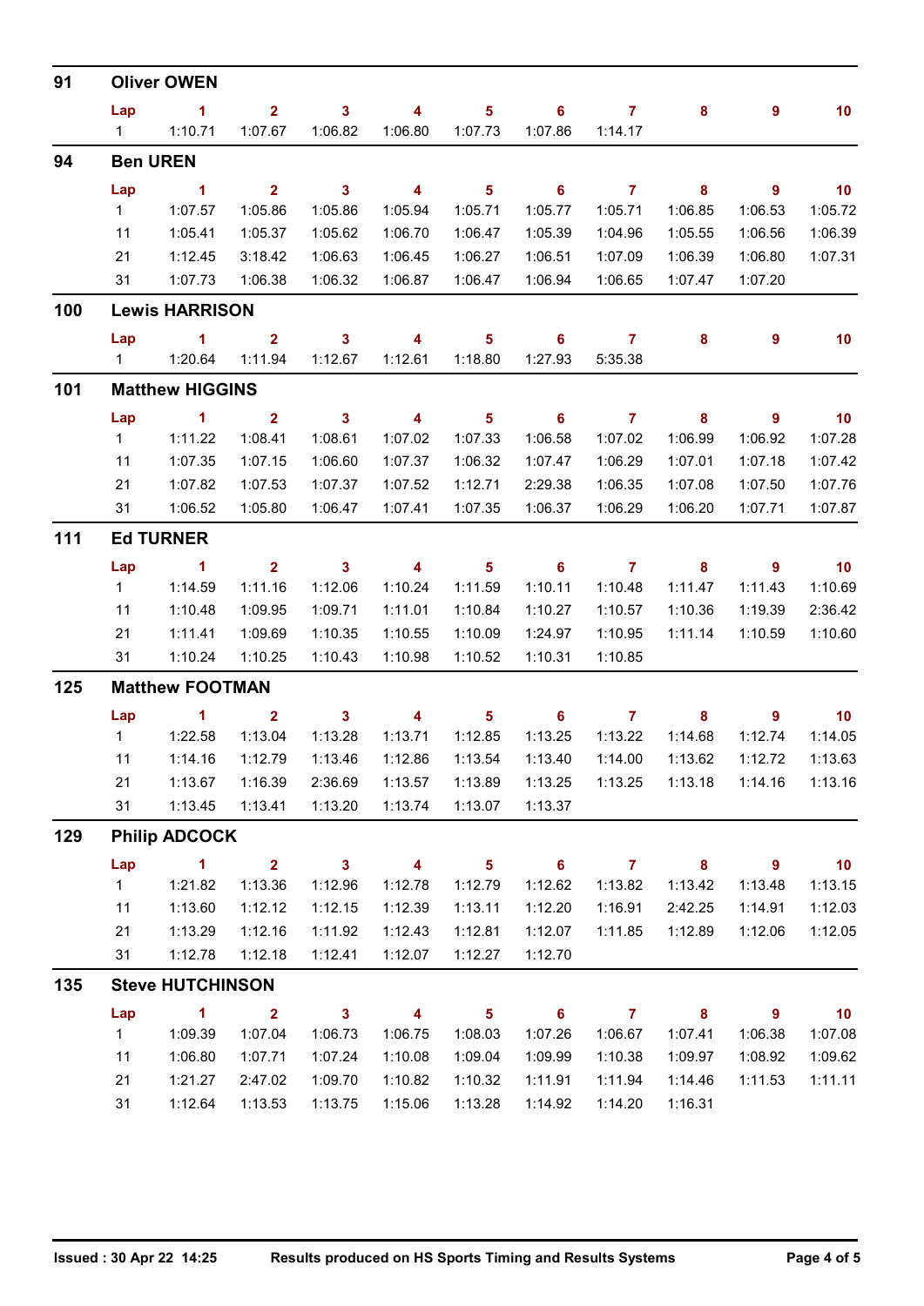| 91  | <b>Oliver OWEN</b>     |                         |                                                 |                            |                          |                            |                            |                |                            |                            |                          |  |  |  |
|-----|------------------------|-------------------------|-------------------------------------------------|----------------------------|--------------------------|----------------------------|----------------------------|----------------|----------------------------|----------------------------|--------------------------|--|--|--|
|     | Lap                    | $\sim$ 1                | $\overline{2}$                                  | $\mathbf{3}$               | 4                        | $5\phantom{.0}$            | 6                          | $\overline{7}$ | 8                          | 9                          | 10                       |  |  |  |
|     | $1 \quad \Box$         | 1:10.71                 | 1:07.67                                         | 1:06.82                    | 1:06.80                  | 1:07.73                    | 1:07.86                    | 1:14.17        |                            |                            |                          |  |  |  |
| 94  |                        | <b>Ben UREN</b>         |                                                 |                            |                          |                            |                            |                |                            |                            |                          |  |  |  |
|     | Lap                    | $\sim$ 1                | 2 <sup>1</sup>                                  | $\overline{\phantom{a}}$ 3 | $\overline{\phantom{a}}$ | $5\phantom{1}$             | 6                          | $\overline{7}$ | 8                          | $\overline{9}$             | 10                       |  |  |  |
|     | 1                      | 1:07.57                 | 1:05.86                                         | 1:05.86                    | 1:05.94                  | 1:05.71                    | 1:05.77                    | 1:05.71        | 1:06.85                    | 1:06.53                    | 1:05.72                  |  |  |  |
|     | 11                     | 1:05.41                 | 1:05.37                                         | 1:05.62                    | 1:06.70                  | 1:06.47                    | 1:05.39                    | 1:04.96        | 1:05.55                    | 1:06.56                    | 1:06.39                  |  |  |  |
|     | 21                     | 1:12.45                 | 3:18.42                                         | 1:06.63                    | 1:06.45                  | 1:06.27                    | 1:06.51                    | 1:07.09        | 1:06.39                    | 1:06.80                    | 1:07.31                  |  |  |  |
|     | 31                     | 1:07.73                 | 1:06.38                                         | 1:06.32                    | 1:06.87                  | 1:06.47                    | 1:06.94                    | 1:06.65        | 1:07.47                    | 1:07.20                    |                          |  |  |  |
| 100 |                        | <b>Lewis HARRISON</b>   |                                                 |                            |                          |                            |                            |                |                            |                            |                          |  |  |  |
|     | Lap                    | $\blacktriangleleft$    | $\mathbf{2}$                                    | $\mathbf{3}$               | $\overline{4}$           | $\overline{\mathbf{5}}$    | 6                          | $\overline{7}$ | 8                          | 9                          | 10                       |  |  |  |
|     |                        |                         | 1:11.94                                         | 1:12.67                    | 1:12.61                  | 1:18.80                    | 1:27.93                    | 5:35.38        |                            |                            |                          |  |  |  |
| 101 |                        | <b>Matthew HIGGINS</b>  |                                                 |                            |                          |                            |                            |                |                            |                            |                          |  |  |  |
|     | Lap                    | $\blacksquare$          | $\overline{\mathbf{2}}$                         | $\overline{\phantom{a}}$ 3 | $\overline{\mathbf{4}}$  | $\overline{\phantom{0}}$ 5 | $\overline{\phantom{0}}$ 6 | $\overline{7}$ | 8                          | $\overline{9}$             | $-10$                    |  |  |  |
|     | $1 \quad$              | 1:11.22                 | 1:08.41                                         | 1:08.61                    | 1:07.02                  | 1:07.33                    | 1:06.58                    | 1:07.02        | 1:06.99                    | 1:06.92                    | 1:07.28                  |  |  |  |
|     | 11                     | 1:07.35                 | 1:07.15                                         | 1:06.60                    | 1:07.37                  | 1:06.32                    | 1:07.47                    | 1:06.29        | 1:07.01                    | 1:07.18                    | 1:07.42                  |  |  |  |
|     | 21                     | 1:07.82                 | 1:07.53                                         | 1:07.37                    | 1:07.52                  | 1:12.71                    | 2:29.38                    | 1:06.35        | 1:07.08                    | 1:07.50                    | 1:07.76                  |  |  |  |
|     | 31                     | 1:06.52                 | 1:05.80                                         | 1:06.47                    | 1:07.41                  | 1:07.35                    | 1:06.37                    | 1:06.29        | 1:06.20                    | 1:07.71                    | 1:07.87                  |  |  |  |
| 111 |                        | <b>Ed TURNER</b>        |                                                 |                            |                          |                            |                            |                |                            |                            |                          |  |  |  |
|     | Lap                    | $\sim$ 1                | $\overline{\mathbf{2}}$                         | $\overline{\phantom{a}}$ 3 | $\overline{\mathbf{4}}$  | $\overline{\phantom{0}}$ 5 | $\overline{\phantom{a}}$ 6 | $\overline{7}$ | $\overline{\phantom{a}}$ 8 | $\overline{\phantom{0}}$ 9 | $\overline{10}$          |  |  |  |
|     | $1 \quad$              | 1:14.59                 | 1:11.16                                         | 1:12.06                    | 1:10.24                  | 1:11.59                    | 1:10.11                    | 1:10.48        | 1:11.47                    | 1:11.43                    | 1:10.69                  |  |  |  |
|     | 11                     | 1:10.48                 | 1:09.95                                         | 1:09.71                    | 1:11.01                  | 1:10.84                    | 1:10.27                    | 1:10.57        | 1:10.36                    | 1:19.39                    | 2:36.42                  |  |  |  |
|     | 21                     | 1:11.41                 | 1:09.69                                         | 1:10.35                    | 1:10.55                  | 1:10.09                    | 1:24.97                    | 1:10.95        | 1:11.14                    | 1:10.59                    | 1:10.60                  |  |  |  |
|     | 31                     | 1:10.24                 | 1:10.25                                         | 1:10.43                    | 1:10.98                  | 1:10.52                    | 1:10.31                    | 1:10.85        |                            |                            |                          |  |  |  |
| 125 | <b>Matthew FOOTMAN</b> |                         |                                                 |                            |                          |                            |                            |                |                            |                            |                          |  |  |  |
|     | Lap                    | $\sim$ $\sim$ 1         | $\overline{\mathbf{2}}$                         | $\overline{\mathbf{3}}$    | $\overline{4}$           | 5 <sub>5</sub>             | $\overline{\phantom{0}}$ 6 | $\overline{7}$ | 8                          | $\overline{9}$             | $\overline{10}$          |  |  |  |
|     |                        | $1 \t 1:22.58$          | 1:13.04                                         | 1:13.28                    | 1:13.71                  | 1:12.85                    | 1:13.25                    | 1:13.22        | 1:14.68                    | 1:12.74                    | 1:14.05                  |  |  |  |
|     | 11                     | 1:14.16                 | 1:12.79                                         | 1:13.46                    |                          | 1:12.86  1:13.54           | 1:13.40                    | 1:14.00        | 1:13.62                    | 1:12.72                    | 1:13.63                  |  |  |  |
|     | 21                     | 1:13.67                 | 1:16.39                                         | 2:36.69                    | 1:13.57                  | 1:13.89                    | 1:13.25                    |                |                            | 1:14.16                    | 1:13.16                  |  |  |  |
|     | 31                     | 1:13.45                 | 1:13.41                                         | 1:13.20                    | 1:13.74                  | 1:13.07                    | 1:13.37                    |                |                            |                            |                          |  |  |  |
| 129 | <b>Philip ADCOCK</b>   |                         |                                                 |                            |                          |                            |                            |                |                            |                            |                          |  |  |  |
|     | Lap                    | $\sim$ 1                | $\overline{\mathbf{2}}$ $\overline{\mathbf{3}}$ |                            | $\overline{\phantom{a}}$ | $\overline{\phantom{0}}$ 5 | $\overline{\phantom{0}}$ 6 | $7 \t 8$       |                            | $\overline{\phantom{a}}$   | $\overline{10}$          |  |  |  |
|     | 1                      | 1:21.82                 | 1:13.36                                         | 1:12.96                    | 1:12.78                  | 1:12.79                    | 1:12.62                    | 1:13.82        | 1:13.42                    | 1:13.48                    | 1:13.15                  |  |  |  |
|     | 11                     | 1:13.60                 | 1:12.12                                         | 1:12.15                    | 1:12.39                  | 1:13.11                    | 1:12.20                    | 1:16.91        | 2:42.25                    | 1:14.91                    | 1:12.03                  |  |  |  |
|     | 21                     | 1:13.29                 | 1:12.16                                         | 1:11.92                    | 1:12.43                  | 1:12.81                    | 1:12.07                    | 1:11.85        | 1:12.89                    | 1:12.06                    | 1:12.05                  |  |  |  |
|     | 31                     | 1:12.78                 | 1:12.18                                         | 1:12.41                    | 1:12.07                  | 1:12.27                    | 1:12.70                    |                |                            |                            |                          |  |  |  |
| 135 |                        | <b>Steve HUTCHINSON</b> |                                                 |                            |                          |                            |                            |                |                            |                            |                          |  |  |  |
|     | Lap                    | $\sim$ 1                | $\overline{\mathbf{2}}$                         | $\overline{\mathbf{3}}$    | $\overline{\phantom{a}}$ | $\overline{\phantom{0}}$ 5 | $\overline{\phantom{0}}$ 6 | $\overline{7}$ | $\overline{\mathbf{8}}$    | $\overline{\phantom{a}}$   | $\overline{\mathbf{10}}$ |  |  |  |
|     | 1                      | 1:09.39                 | 1:07.04                                         | 1:06.73                    | 1:06.75                  | 1:08.03                    | 1:07.26                    | 1:06.67        | 1:07.41                    | 1:06.38                    | 1:07.08                  |  |  |  |
|     | 11                     | 1:06.80                 | 1:07.71                                         | 1:07.24                    | 1:10.08                  | 1:09.04                    | 1:09.99                    | 1:10.38        | 1:09.97                    | 1:08.92                    | 1:09.62                  |  |  |  |
|     | 21                     | 1:21.27                 | 2:47.02                                         | 1:09.70                    | 1:10.82                  | 1:10.32                    | 1:11.91                    | 1:11.94        | 1:14.46                    | 1:11.53                    | 1:11.11                  |  |  |  |
|     | 31                     | 1:12.64                 | 1:13.53                                         | 1:13.75                    | 1:15.06                  | 1:13.28                    | 1:14.92                    | 1:14.20        | 1:16.31                    |                            |                          |  |  |  |